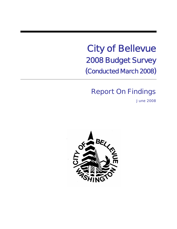# City of Bellevue 2008 Budget Survey (Conducted March 2008)

# Report On Findings

June 2008

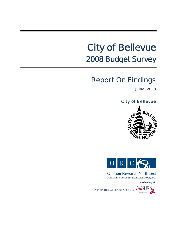# City of Bellevue 2008 Budget Survey

# Report On Findings

June, 2008

# City of Bellevue





**Opinion Research Northwest** *FORMERLY NORTHWEST RESEARCH GROUP, INC.*

**A subsidiary of:** 

OPINION RESEARCH CORPORATION *info*USA

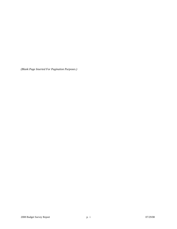*(Blank Page Inserted For Pagination Purposes.)*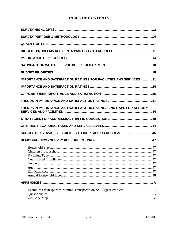### **TABLE OF CONTENTS**

| <b>IMPORTANCE AND SATISFACTION RATINGS FOR FACILITIES AND SERVICES21</b> |
|--------------------------------------------------------------------------|
|                                                                          |
|                                                                          |
|                                                                          |
| TRENDS IN IMPORTANCE AND SATISFACTION RATINGS AND GAPS FOR ALL CITY      |
|                                                                          |
|                                                                          |
| SUGGESTED SERVICES/ FACILITIES TO INCREASE OR DECREASE 45                |
|                                                                          |
|                                                                          |
|                                                                          |
|                                                                          |
|                                                                          |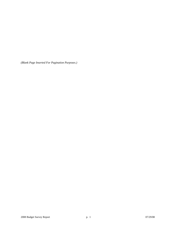*(Blank Page Inserted For Pagination Purposes.)*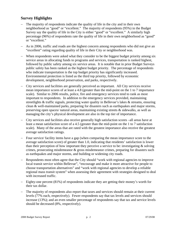# <span id="page-5-0"></span>**Survey Highlights**

- The majority of respondents indicate the quality of life in the city and in their own neighborhood as "good" or "excellent." The majority of respondents (95%) in the Budget Survey say the quality of life in the City is either "good" or "excellent." A similarly high percentage (96%) of respondents rate the quality of life in their own neighborhood as "good" or "excellent."
- − As in 2006, traffic and roads are the highest concern among respondents who did not give an "excellent" rating regarding quality of life in their City or neighborhood was.
- − When respondents were asked what they consider to be the biggest budget priority among six service areas in allocating funds to programs and services, transportation is ranked highest, followed by public safety among six service areas. It is notable that in prior Budget Surveys public safety has been ranked as the highest budget priority. The percentage of respondents who indicate transportation is the top budget priority has significantly increased. Environmental protection is listed as the third top priority, followed by economic development, neighborhood preservation, and parks, respectively.
- − City services and facilities are generally perceived as important. All City services receive mean importance scores of at least a 4.8 (greater than the mid-point on the 1 to 7 importance scale). Similar to 2006 results, police, fire and emergency services tend to rank as most important to respondents. In addition to the emergency services provided, maintaining streetlights & traffic signals, protecting water quality in Bellevue's lakes & streams, ensuring clean & well-maintained parks, preparing for disasters such as earthquakes and major storms, preserving open spaces/ natural areas, maintaining existing streets & sidewalks, as well as managing the city's physical development are also in the top tier of importance.
- − City services and facilities also receive generally high satisfaction scores –all areas have at least a mean satisfaction score of a 4.5 (greater than the mid-point on the 1 to 7 satisfaction scale). Many of the areas that are rated with the greatest importance also receive the greatest average satisfaction ratings.
- − Four service/ facility items have a gap (when comparing the mean importance score to the average satisfaction score) of greater than 1.0, indicating that residents' satisfaction is lower than their perception of how important they perceive a service to be: investigating & solving crimes, prosecuting misdemeanor & gross misdemeanor crimes, preparing for disasters such as earthquakes and major storms, and building or widening city roads.
- − Respondents most often agree that the City should "work with regional agencies to improve local transit service within Bellevue", "encourage and make it more attractive for people to choose transportation alternatives" and "work with regional agencies to develop a reliable regional mass transit system" when assessing their agreement with strategies designed to deal with increased traffic.
- − Eighty-one percent (81%) of respondents indicate they are getting their money's worth for their tax dollar.
- The majority of respondents also report that taxes and services should remain at their current levels (77% each, respectively). Fewer respondents say that tax levels and services should increase (13%); and an even smaller percentage of respondents say that tax and service levels should be decreased (8%, respectively).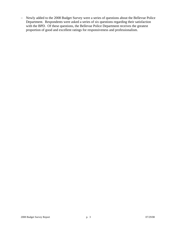− Newly added to the 2008 Budget Survey were a series of questions about the Bellevue Police Department. Respondents were asked a series of six questions regarding their satisfaction with the BPD. Of these questions, the Bellevue Police Department receives the greatest proportion of good and excellent ratings for responsiveness and professionalism.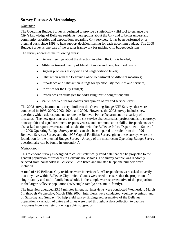# <span id="page-7-0"></span>**Survey Purpose & Methodology**

#### *Objectives*

The Operating Budget Survey is designed to provide a statistically valid tool to enhance the City's knowledge of Bellevue residents' perceptions about the City and to better understand community priorities and expectations regarding City services. It has been performed on a biennial basis since 1998 to help support decision making for each upcoming budget. The 2008 Budget Survey is one part of the greater framework for making City budget decisions.

The survey addresses the following areas:

- General feelings about the direction in which the City is headed;
- Attitudes toward quality of life at citywide and neighborhood levels;
- Biggest problems at citywide and neighborhood levels;
- Satisfaction with the Bellevue Police Department on different measures;
- Importance and satisfaction ratings for specific City facilities and services;
- Priorities for the City Budget;
- Preferences on strategies for addressing traffic congestion; and
- Value received for tax dollars and opinion of tax and service levels.

The 2008 survey instrument is very similar to the Operating Budget/CIP Surveys that were conducted in 1998, 2000, 2002, 2004, and 2006. However, the 2008 survey includes new questions which ask respondents to rate the Bellevue Police Department on a variety of measures. The new questions are related to six service characteristics: professionalism, courtesy, honesty, fair and equal treatment, responsiveness, and communication skills. Respondents were also asked to report awareness and satisfaction with the Bellevue Police Department. Some of the 2008 Operating Budget Survey results can also be compared to results from the 1996 Bellevue Services Survey and the 1997 Capital Facilities Survey, given these surveys were the foundation for the biennial Budget Survey. A copy of the most recent Operating Budget Survey questionnaire can be found in Appendix A.

#### *Methodology*

This telephone survey is designed to collect statistically valid data that can be projected to the general population of residents in Bellevue households. The survey sample was randomly selected from households in Bellevue. Both listed and unlisted telephone numbers were included.

A total of 410 Bellevue City residents were interviewed. All respondents were asked to verify that they live within Bellevue City limits. Quotas were used to ensure that the proportion of single-family and multi-family households in the sample were representative of the proportions in the larger Bellevue population (55% single-family; 45% multi-family).

The interview averaged 23.64 minutes in length. Interviews were conducted Wednesday, March 5th through Wednesday, March 19th, 2008. Interviews were conducted weekday evenings, and on Saturday and Sunday. To help yield survey findings representative of the Bellevue population a variation of dates and times were used throughout data collection to capture responses from a variety of demographic subgroups.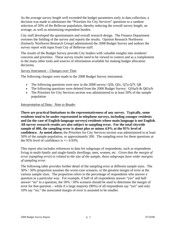As the average survey length well exceeded the budget parameters early in data collection, a decision was made to administer the "Priorities for City Services" questions to a random selection of 50% of the Bellevue population, thereby reducing the overall survey length, on average, as well as minimizing respondent burden.

City staff developed the questionnaire and overall research design. The Finance Department oversees the fielding of the survey and reports the results. Opinion Research Northwest (formerly Northwest Research Group) administered the 2008 Budget Survey and authors the survey report with input from City of Bellevue staff.

The results of the Budget Survey provide City leaders with valuable insights into residents' concerns and priorities. These survey results need to be viewed in context and as a complement to the many other tools and sources of information available for making budget allocation decisions.

#### *Survey Instrument – Changes over Time*

The following changes were made to the 2008 Budget Survey instrument.

- The following questions were new in the 2008 survey: Q5b, Q5c, Q7a-Q7f, Q8
- The following questions were deleted from the 2006 Budget Survey:  $O16a/b & O61a/b$
- The Priorities for City Services section was administered to at least 50% of the sample population

#### *Interpretation of Data: Note to Reader*

**There are practical limitations to the representativeness of any survey. Typically, some residents tend to be under-represented in telephone surveys, including younger residents and (in the case of English-language surveys) residents whose main language is not English. All survey research results are also subject to sampling error. For the total citywide sample of 400, the sampling error is about plus or minus 4.9% at the 95% level of confidence. As noted above,** the Priorities for City Services section was administered to at least 50% of the sample population, or approximately 200. The sampling error for these questions at the 95% level of confidence is  $+/- 6.93\%$ .

This report also includes references to data for subgroups of respondents, such as respondents living in multi-family and single-family dwellings, men, women, etc. *Given that the margin of error (sampling error) is related to the size of the sample, these subgroups have wider margins of sampling error.* 

The following table provides further detail of the sampling error at different sample sizes. The 50% / 50% proportion assumes the worst-case scenario, or the greatest margin of error at the various sample sizes. The proportion refers to the percentage of respondents who answer a question in a particular way. For example, if half of all respondents answer "yes" and half answer "no" to a question, the 50% / 50% scenario should be used to determine the margin of error for that question – while if a large majority (90%) of all respondents say "yes" and only 10% say "no," the associated margin of error is assumed to be smaller.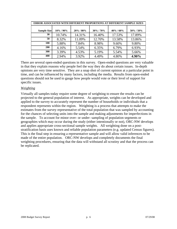| <b>ERROR ASSOCIATED WITH DIFFERENT PROPORTIONS AT DIFFERENT SAMPLE SIZES</b> |              |         |         |              |         |  |  |  |
|------------------------------------------------------------------------------|--------------|---------|---------|--------------|---------|--|--|--|
| <b>Sample Size</b>                                                           | $10\%$ / 90% | 20%/80% | 30%/70% | $40\%$ / 60% | 50%/50% |  |  |  |
| 30                                                                           | 10.74%       | 14.31%  | 16.40%  | 17.53%       | 17.89%  |  |  |  |
| 50                                                                           | 8.32%        | 11.09%  | 12.70%  | 13.58%       | 13.86%  |  |  |  |
| 100                                                                          | 5.88%        | 7.84%   | 8.98%   | 9.60%        | 9.80%   |  |  |  |
| 200                                                                          | 4.16%        | 5.54%   | 6.35%   | 6.79%        | 6.93%   |  |  |  |
| 300                                                                          | 3.39%        | 4.53%   | 5.19%   | 5.54%        | 5.66%   |  |  |  |
| 400                                                                          | 2.94%        | 3.92%   | 4.49%   | 4.80%        | 4.90%   |  |  |  |

There are several open-ended questions in this survey. Open-ended questions are very valuable in that they explain reasons why people feel the way they do about certain issues. In-depth opinions are very time sensitive. They are a snap shot of current opinion at a particular point in time, and can be influenced by many factors, including the media. Results from open-ended questions should not be used to gauge how people would vote or their level of support for specific issues.

#### *Weighting*

Virtually all samples today require some degree of weighting to ensure the results can be projected to the general population of interest. As appropriate, weights can be developed and applied to the survey to accurately represent the number of households or individuals that a respondent represents within the region. Weighting is a process that attempts to make the estimates from the survey representative of the total population that was sampled by accounting for the chances of selecting units into the sample and making adjustments for imperfections in the sample. To account for minor over- or under- sampling of population segments or geographies which may occur during the study (either intentionally or not), ORC-NW develops and applies appropriate cross-sectional sample weights. All weighting done on a poststratification basis uses known and reliable population parameters (e.g. updated Census figures). This is the final step in ensuring a representative sample and will allow valid inferences to be made of the entire population. ORC-NW develops and completely documents the final weighting procedures, ensuring that the data will withstand all scrutiny and that the process can be replicated.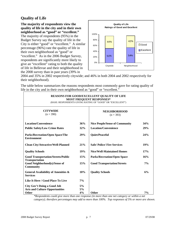# <span id="page-10-0"></span>**Quality of Life**

**The majority of respondents view the quality of life in the city and in their own neighborhood as "good" or "excellent."** The majority of respondents (95%) in the Budget Survey say the quality of life in the City is either "good" or "excellent." A similar percentage (96%) rate the quality of life in their own neighborhood as "good" or "excellent." As in the 2006 Budget Survey,

respondents are significantly more likely to give an "excellent" rating to both the quality of life in Bellevue and their neighborhood in the 2008 survey than in past years (39% in



2004 and 35% in 2002 respectively citywide; and 46% in both 2004 and 2002 respectively for their neighborhood).

The table below summarizes the reasons respondents most commonly gave for rating quality of life in the city and in their own neighborhood as "good" or "excellent."

| <b>REASONS FOR GOOD/EXCELLENT QUALITY OF LIFE</b><br><b>MOST FREQUENT RESPONSES*</b><br>(BASE: RESPONDENTS GIVING RATING OF "GOOD" OR "EXCELLENT") |                                       |       |  |  |  |  |  |
|----------------------------------------------------------------------------------------------------------------------------------------------------|---------------------------------------|-------|--|--|--|--|--|
|                                                                                                                                                    | <b>NEIGHBORHOOD</b><br>$(n = 393)$    |       |  |  |  |  |  |
| 36%                                                                                                                                                | <b>Nice People/Sense of Community</b> | 34%   |  |  |  |  |  |
| 32%                                                                                                                                                | <b>Location/Convenience</b>           | 29%   |  |  |  |  |  |
| 29%                                                                                                                                                | Quiet/Peaceful                        | 24%   |  |  |  |  |  |
| 21%                                                                                                                                                | <b>Safe/Police/Fire Services</b>      | 19%   |  |  |  |  |  |
| 19%                                                                                                                                                | <b>Nice/Well-Maintained Homes</b>     | 17%   |  |  |  |  |  |
| 15%                                                                                                                                                | <b>Parks/Recreation/Open Space</b>    | 16%   |  |  |  |  |  |
| 15%                                                                                                                                                | <b>Good Transportation/Streets</b>    | 7%    |  |  |  |  |  |
| 10%                                                                                                                                                | <b>Quality Schools</b>                | 6%    |  |  |  |  |  |
| 7%                                                                                                                                                 |                                       |       |  |  |  |  |  |
| 5%<br>5%                                                                                                                                           |                                       | 7%    |  |  |  |  |  |
|                                                                                                                                                    | 4%                                    | Other |  |  |  |  |  |

*\*Respondents could give more than one response (in more than one net category or within a net category); therefore percentages may add to more than 100%. Top responses of 5% or more are shown.*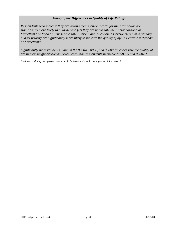#### *Demographic Differences in Quality of Life Ratings*

*Respondents who indicate they are getting their money's worth for their tax dollar are significantly more likely than those who feel they are not to rate their neighborhood as "excellent" or "good." Those who rate "Parks" and "Economic Development" as a primary budget priority are significantly more likely to indicate the quality of life in Bellevue is "good" or "excellent".* 

*Significantly more residents living in the 98004, 98006, and 98008 zip codes rate the quality of life in their neighborhood as "excellent" than respondents in zip codes 98005 and 98007.\** 

*<sup>\* (</sup>A map outlining the zip code boundaries in Bellevue is shown in the appendix of this report.)*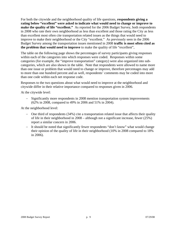For both the citywide and the neighborhood quality of life questions, **respondents giving a rating below "excellent" were asked to indicate what would need to change or improve to make the quality of life "excellent."** As reported for the 2006 Budget Survey, both respondents in 2008 who rate their own neighborhood as less than excellent and those rating the City as less than excellent most often cite transportation related issues as the things that would need to improve to make their neighborhood or the City "excellent." As previously seen in the 2006 Budget Survey among the transportation issues mentioned in 2008 **traffic is most often cited as the problem that would need to improve** to make the quality of life "excellent",

The table on the following page shows the percentages of survey participants giving responses within each of the categories into which responses were coded. Responses within some categories (for example, the "improve transportation" category) were also organized into subcategories, which are also shown in the table. Note that respondents were allowed to name more than one issue or problem that would need to change or improve, therefore percentages may add to more than one hundred percent and as well, respondents' comments may be coded into more than one code within each net response code.

Responses to the two questions about what would need to improve at the neighborhood and citywide differ in their relative importance compared to responses given in 2006.

At the citywide level:

− Significantly more respondents in 2008 mention transportation system improvements (62% in 2008, compared to 49% in 2006 and 51% in 2004).

At the neighborhood level:

- − One third of respondents (34%) cite a transportation related issue that affects their quality of life in their neighborhood in 2008 – although not a significant increase, fewer (25%) report a similar concern in 2006.
- − It should be noted that significantly fewer respondents "don't know" what would change their opinion of the quality of life in their neighborhood (10% in 2008 compared to 18% in 2006).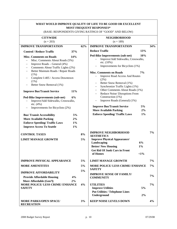|                                                                                                                                                                                                                                                                              |                            |                                    | WHAT WOULD IMPROVE QUALITY OF LIFE TO BE GOOD OR EXCELLENT<br><b>MOST FREQUENT RESPONSES*</b><br>(BASE: RESPONDENTS GIVING RATINGS OF "GOOD" AND BELOW)                                            |                       |     |  |
|------------------------------------------------------------------------------------------------------------------------------------------------------------------------------------------------------------------------------------------------------------------------------|----------------------------|------------------------------------|----------------------------------------------------------------------------------------------------------------------------------------------------------------------------------------------------|-----------------------|-----|--|
| <b>CITYWIDE</b><br>$(n = 203)$                                                                                                                                                                                                                                               |                            | <b>NEIGHBORHOOD</b><br>$(n = 189)$ |                                                                                                                                                                                                    |                       |     |  |
| <b>IMPROVE TRANSPORTATION</b>                                                                                                                                                                                                                                                |                            | 62%                                | <b>IMPROVE TRANSPORTATION</b>                                                                                                                                                                      |                       | 34% |  |
| <b>Control / Reduce Traffic</b>                                                                                                                                                                                                                                              | 37%                        |                                    | <b>Reduce Traffic</b>                                                                                                                                                                              | 13%                   |     |  |
| <b>Misc. Comments on Roads</b><br>Misc. Comments About Roads (5%)<br>$\overline{\phantom{0}}$<br>Improve Roads - General (4%)<br>$\qquad \qquad -$<br>Comments About Traffic Lights (2%)<br>Better Maintain Roads / Repair Roads<br>(1%)<br>Complete I-405 / Access Downtown | 14%                        |                                    | Ped-Bike Improvements (sub-net)<br>Improve/Add Sidewalks, Crosswalks,<br>etc. (10%)<br>Improvements for Bicyclists (1%)<br><b>Misc. Comments on Roads</b><br><b>Improve Road Access And Routes</b> | 10%<br>7%             |     |  |
| (1%)<br>Better Snow Removal (1%)<br><b>Improve Bus/Transit Service</b>                                                                                                                                                                                                       | 11%                        |                                    | (2%)<br>Better Snow Removal (1%)<br>Synchronize Traffic Lights (1%)<br>-<br>Other Comments About Roads (1%)                                                                                        |                       |     |  |
| 6%<br>Ped-Bike Improvements (sub-net)<br>Improve/Add Sidewalks, Crosswalks,<br>etc. (4%)                                                                                                                                                                                     |                            |                                    | Reduce Noise/ Disruptions From<br>Construction (1%)<br>Improve Roads (General) (1%)                                                                                                                |                       |     |  |
| Improvements for Bicyclists (2%)                                                                                                                                                                                                                                             |                            |                                    | <b>Improve Bus/Transit Service</b><br><b>More Available Parking</b>                                                                                                                                | 5%<br>2%              |     |  |
| <b>Bus/Transit Accessibility</b><br><b>More Available Parking</b><br><b>Enforce Speeding/Traffic Laws</b><br><b>Improve Access To Seattle</b>                                                                                                                                | 5%<br>2%<br>$1\%$<br>$1\%$ |                                    | <b>Enforce Speeding/Traffic Laws</b>                                                                                                                                                               | $1\%$                 |     |  |
| <b>CONTROL TAXES</b>                                                                                                                                                                                                                                                         |                            | 8%                                 | <b>IMPROVE NEIGHBORHOOD</b><br><b>AESTHETICS</b>                                                                                                                                                   |                       | 7%  |  |
| <b>LIMIT MANAGE GROWTH</b>                                                                                                                                                                                                                                                   |                            | 5%                                 | <b>Improve Physical Appearance/</b><br>Landscaping<br><b>Better/New Housing</b><br><b>Get Rid Of Junk Cars in Front</b><br>of Homes                                                                | 6%<br>$1\%$<br>$<1\%$ |     |  |
| <b>IMPROVE PHYSICAL APPEARANCE</b>                                                                                                                                                                                                                                           |                            | 5%                                 | <b>LIMIT MANAGE GROWTH</b>                                                                                                                                                                         |                       | 7%  |  |
| <b>MORE AMENITITES</b><br><b>IMPROVE AFFORDABILITY</b>                                                                                                                                                                                                                       |                            | 5%<br>5%                           | <b>MORE POLICE/ LESS CRIME/ ENHANCE</b><br><b>SAFETY</b>                                                                                                                                           |                       | 7%  |  |
| <b>Provide Affordable Housing</b><br>More Affordable (Gen'l)                                                                                                                                                                                                                 | 4%<br>2%                   |                                    | <b>IMPROVE SENSE OF FAMILY/</b><br><b>COMMUNITY</b>                                                                                                                                                |                       | 7%  |  |
| <b>MORE POLICE/ LESS CRIME/ ENHANCE</b><br><b>SAFETY</b>                                                                                                                                                                                                                     |                            | 4%                                 | <b>UTILITIES</b><br><b>Improve Utilities</b><br><b>Put Utilities / Telephone Lines</b><br>Underground                                                                                              | 5%<br>2%              | 7%  |  |
| <b>MORE PARKS/OPEN SPACE/</b><br><b>RECREATION</b>                                                                                                                                                                                                                           |                            | 3%                                 | <b>KEEP NOISE LEVELS DOWN</b>                                                                                                                                                                      |                       | 4%  |  |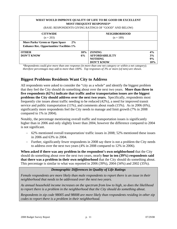<span id="page-14-0"></span>

| WHAT WOULD IMPROVE QUALITY OF LIFE TO BE GOOD OR EXCELLENT<br><b>MOST FREQUENT RESPONSES*</b><br>(BASE: RESPONDENTS GIVING RATINGS OF "GOOD" AND BELOW) |     |                       |     |  |  |  |  |
|---------------------------------------------------------------------------------------------------------------------------------------------------------|-----|-----------------------|-----|--|--|--|--|
| <b>CITYWIDE</b>                                                                                                                                         |     | <b>NEIGHBORHOOD</b>   |     |  |  |  |  |
| $(n = 203)$<br>$(n = 189)$                                                                                                                              |     |                       |     |  |  |  |  |
| 2%<br>More Parks/ Green or Open Space                                                                                                                   |     |                       |     |  |  |  |  |
| <b>Enhance Rec. Opportunities/ Facilities 1%</b>                                                                                                        |     |                       |     |  |  |  |  |
| <b>OTHER</b>                                                                                                                                            | 10% | <b>ZONING</b>         | 4%  |  |  |  |  |
| <b>DON'T KNOW</b>                                                                                                                                       | 6%  | <b>AFFORDABILILTY</b> | 3%  |  |  |  |  |
|                                                                                                                                                         |     | <b>NOTHING</b>        | 9%  |  |  |  |  |
|                                                                                                                                                         |     | <b>DON'T KNOW</b>     | 10% |  |  |  |  |

*\*Respondents could give more than one response (in more than one net category or within a net category); therefore percentages may add to more than 100%. Top responses of 3% or more (of nets) are shown.* 

## **Biggest Problems Residents Want City to Address**

All respondents were asked to consider the "city as a whole" and identify the biggest problem that they feel the City should do something about over the next two years. **More than three in five respondents (62%) indicate that traffic and/or transportation issues are the biggest problems the City should address over the next two years.** Specifically, respondents most frequently cite issues about traffic needing to be reduced (42%), a need for improved transit service and public transportation (11%), and comments about roads (15%). As in 2006 (6%), significantly more respondents feel the City needs to manage and limit growth (7% in 2008 compared to 1% in 2004).

Notably, the percentage mentioning overall traffic and transportation issues is significantly higher than in 2006 and only slightly lower than 2004, however the difference compared to 2004 is not significant.

- − 62% mentioned overall transportation/ traffic issues in 2008; 52% mentioned these issues in 2006 and 63% in 2004.
- − Further, significantly fewer respondents in 2008 say there is not a problem the City needs to address over the next two years (4% in 2008 compared to 12% in 2006).

**When asked if there was any problem in the respondent's own neighborhood** that the City should do something about over the next two years, nearly **four in ten (39%) respondents said that there was a problem in their own neighborhood** that the City should do something about. This percentage is similar to what was reported in 2006 (39%), 2004 (34%) and 2002 (35%).

#### *Demographic Differences in Quality of Life Ratings*

*Female respondents are more likely than male respondents to report there is an issue in their neighborhood that needs to be addressed over the next two years.* 

*As annual household income increases on the spectrum from low to high, so does the likelihood to report there is a problem in the neighborhood that the City should do something about.* 

*Respondents in zip code 98005 and 98008 are more likely than respondents residing in other zip codes to report there is a problem in their neighborhood.*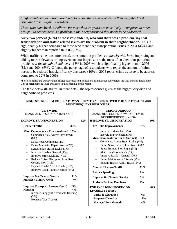*Single-family resident are more likely to report there is a problem in their neighborhood compared to multi-family residents.* 

*Those who have lived in Bellevue for more than 25 years are most likely – compared to other groups - to report there is a problem in their neighborhood that needs to be addressed.* 

**Sixty-two percent (62%) of those respondents, who said there was a problem, say that transportation and traffic related issues are the problem in their neighborhood\*.** This is significantly higher compared to those who mentioned transportation issues in 2004 (46%), and slightly higher than reported in 2006 (52%).

While traffic is the most often cited, transportation problems *at the citywide level*, improving and adding more sidewalks or improvements for bicyclists are the most often cited transportation problems *at the neighborhood level* –18% in 2008 which is significantly higher than in 2006 (8%) and 2004 (6%). Of note, the percentage of respondents who report the amount of crime needs to be reduced has significantly decreased (10% in 2008 report crime as issue to be address compared to 22% in 2006).

\*Selected traffic and transportation-related responses to the questions asking about the problem the City should address at the City or neighborhood level are shown in the appendix of this report.

The table below illustrates, in more detail, the top responses given as the biggest citywide and neighborhood problems.

| <b>CITYWIDE</b><br>(BASE: ALL RESPONDENTS: $n = 410$ )<br>62%<br><b>IMPROVE TRANSPORTATION</b> |                                                                                                                                                                                                                                                                                                          |                                                                                                                                                                                                                                                                                      | <b>NEIGHBORHOOD</b><br>(BASE: RESPONDENTS W/PROBLEM IN<br>NEIGHBORHOOD: $n = 158$ )<br><b>IMPROVE TRANSPORTATION</b> |                                                                                                                                                                                                                                                                  |  |  |
|------------------------------------------------------------------------------------------------|----------------------------------------------------------------------------------------------------------------------------------------------------------------------------------------------------------------------------------------------------------------------------------------------------------|--------------------------------------------------------------------------------------------------------------------------------------------------------------------------------------------------------------------------------------------------------------------------------------|----------------------------------------------------------------------------------------------------------------------|------------------------------------------------------------------------------------------------------------------------------------------------------------------------------------------------------------------------------------------------------------------|--|--|
| 42%                                                                                            |                                                                                                                                                                                                                                                                                                          | <b>Ped-Bike Improvements</b>                                                                                                                                                                                                                                                         | 18%                                                                                                                  |                                                                                                                                                                                                                                                                  |  |  |
|                                                                                                |                                                                                                                                                                                                                                                                                                          | Improve Sidewalks (17%)<br>Bicycle Improvement (1%)<br>$\qquad \qquad -$<br>$\qquad \qquad -$<br>Speed Bumps/ Stop Signs (3%)<br>$\qquad \qquad -$<br>Misc. Road Comments (2%)<br>$\overline{\phantom{m}}$<br>Improve Roads – General (2%)<br>$\qquad \qquad -$<br>$\qquad \qquad -$ |                                                                                                                      |                                                                                                                                                                                                                                                                  |  |  |
|                                                                                                |                                                                                                                                                                                                                                                                                                          | <b>Control / Reduce Traffic</b>                                                                                                                                                                                                                                                      | 21%                                                                                                                  |                                                                                                                                                                                                                                                                  |  |  |
| $11\%$<br>7%<br>5%<br>4%                                                                       |                                                                                                                                                                                                                                                                                                          | <b>Reduce Speeding</b><br><b>Improve Bus/Transit Service</b><br><b>Address Parking Problems</b><br><b>ENHANCE NEIGHBORHOOD</b><br><b>LIVABILITY (MISC)</b><br><b>Parks &amp; Recreation</b><br><b>Property Clean Up</b><br><b>Manage/Limit Growth</b>                                | 9%<br>6%<br>$1\%$<br>6%<br>5%<br>4%                                                                                  | 20%                                                                                                                                                                                                                                                              |  |  |
|                                                                                                | Misc. Comments on Roads (sub-net) 15%<br>Complete I-405/ Access Downtown<br>Better Maintain/ Repair Roads (2%)<br>Synchronize Traffic Lights (1%)<br>Reduce Noise/ Disruption from Road<br>Expand Roads/ Addt'l Roads (<1%)<br>Improve Road Routes/Access (<1%)<br>Increase Supply of Affordable Housing |                                                                                                                                                                                                                                                                                      | <b>MOST FREQUENT RESPONSES*</b>                                                                                      | BIGGEST PROBLEM RESIDENTS WANT CITY TO ADDRESS OVER THE NEXT TWO YEARS<br>Misc. Comments on Roads (sub-net) 16%<br>Comments About Street Lights (4%)<br>Better Snow Removal on Roads (3%)<br>Better Maintenance / Repair (2%)<br>Expand Roads/ Addt'l Roads (1%) |  |  |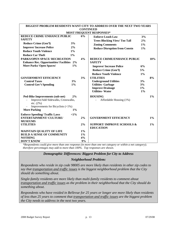| BIGGEST PROBLEM RESIDENTS WANT CITY TO ADDRESS OVER THE NEXT TWO YEARS<br><b>CONTINUED</b> |       |       |                                      |       |       |  |  |
|--------------------------------------------------------------------------------------------|-------|-------|--------------------------------------|-------|-------|--|--|
|                                                                                            |       |       | <b>MOST FREQUENT RESPONSES*</b>      |       |       |  |  |
| <b>REDUCE CRIME/ ENHANCE PUBLIC</b>                                                        |       | 6%    | <b>Enforce Leash Law</b>             | 3%    |       |  |  |
| <b>SAFETY</b>                                                                              |       |       | <b>Trees Blocking View/ Too Tall</b> | 2%    |       |  |  |
| <b>Reduce Crime (Gen'l)</b>                                                                | 3%    |       | <b>Zoning Comments</b>               | $1\%$ |       |  |  |
| <b>Improve/Increase Police</b>                                                             | 2%    |       | <b>Reduce Disruption from Constn</b> | $1\%$ |       |  |  |
| <b>Reduce Youth Violence</b>                                                               | $1\%$ |       |                                      |       |       |  |  |
| <b>Reduce Car Theft</b>                                                                    | $1\%$ |       |                                      |       |       |  |  |
| <b>PARKS/OPEN SPACE/ RECREATION</b>                                                        |       | 4%    | <b>REDUCE CRIME/ENHANCE PUBLIC</b>   |       | 10%   |  |  |
| <b>Enhance Rec. Opportunities/ Facilities 2%</b>                                           |       |       | <b>SAFETY</b>                        |       |       |  |  |
| <b>More Parks/ Open Spaces/</b>                                                            | $1\%$ |       | <b>Improve/Increase Police</b>       | 6%    |       |  |  |
|                                                                                            |       |       | <b>Reduce Crime (Gen'l)</b>          | 5%    |       |  |  |
|                                                                                            |       |       | <b>Reduce Youth Violence</b>         | 1%    |       |  |  |
| <b>GOVERNMENT EFFICIENCY</b>                                                               |       | 3%    | <b>UTILITIES</b>                     |       | 8%    |  |  |
| <b>Control Taxes</b>                                                                       | 3%    |       | <b>Underground Utilities</b>         | 3%    |       |  |  |
| <b>Control Gov't Spending</b>                                                              | $1\%$ |       | <b>Utilities- Garbage</b>            | 3%    |       |  |  |
|                                                                                            |       |       | <b>Improve Drainage</b>              | $1\%$ |       |  |  |
|                                                                                            |       |       | <b>Utilities-Water</b>               | $1\%$ |       |  |  |
| <b>Ped-Bike Improvements (sub-net)</b>                                                     | 2%    |       | <b>HOUSING</b>                       |       | $1\%$ |  |  |
| Improve/Add Sidewalks, Crosswalks,                                                         |       |       | Affordable Housing (1%)<br>$\equiv$  |       |       |  |  |
| etc. (2%)                                                                                  |       |       |                                      |       |       |  |  |
| Improvements for Bicyclists $\left($ < 1%)<br><b>More Parking</b>                          | $1\%$ |       |                                      |       |       |  |  |
|                                                                                            |       |       |                                      |       |       |  |  |
| <b>Enforce Speeding/Traffic Laws</b>                                                       | <1%   |       |                                      |       |       |  |  |
| <b>ENTERTAINMENT/ CULTURE/</b><br><b>MUSEUMS</b>                                           |       | 2%    | <b>GOVERNMENT EFFICIENCY</b>         |       | $1\%$ |  |  |
| <b>UTILITIES</b>                                                                           |       | 2%    | <b>SUPPORT/IMPROVE SCHOOLS &amp;</b> |       | 1%    |  |  |
|                                                                                            |       |       | <b>EDUCATION</b>                     |       |       |  |  |
| <b>MAINTAIN QUALITY OF LIFE</b>                                                            |       | $1\%$ |                                      |       |       |  |  |
| <b>BUILD A SENSE OF COMMUNITY</b>                                                          |       | $1\%$ |                                      |       |       |  |  |
| <b>NOTHING</b>                                                                             |       | 4%    |                                      |       |       |  |  |
| <b>DON'T KNOW</b>                                                                          |       | 9%    |                                      |       |       |  |  |

*\*Respondents could give more than one response (in more than one net category or within a net category); therefore percentages may add to more than 100%. Top responses are shown.* 

#### *Demographic Differences: Biggest Problem for City to Address*

#### *Neighborhood Problem:*

*Respondents who reside in zip code 98005 are more likely than residents in other zip codes to say that transportation and traffic issues is the biggest neighborhood problem that the City should do something about.* 

*Single-family residents are more likely than multi-family residents to comment about transportation and traffic issues as the problem in their neighborhood that the City should do something about.* 

*Respondents who have resided in Bellevue for 25 years or longer are more likely than residents of less than 25 years to comment that transportation and traffic issues are the biggest problem the City needs to address in the next two years.*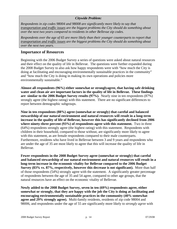#### *Citywide Problem:*

<span id="page-17-0"></span>*Respondents in zip codes 98004 and 98008 are significantly more likely to say that transportation and traffic issues are the biggest problems the City should do something about over the next two years compared to residents in other Bellevue zip codes.* 

*Respondents over the age of 65 are more likely than their younger counterparts to report that transportation and traffic issues are the biggest problems the City should do something about over the next two years.*

#### **Importance of Resources**

Beginning with the 2006 Budget Survey a series of questions were asked about natural resources and their effect on the quality of life in Bellevue. The questions were further expanded during the 2008 Budget Survey to also ask how happy respondents were with "how much the City is doing at facilitating and encouraging environmentally sustainable practices in the community" and "how much the City is doing in making its own operations and policies more environmentally sustainable."

**Almost all respondents (96%) either somewhat or stronglyagree, that having safe drinking water and clean air are important factors in the quality of life in Bellevue. These findings are similar to the 2006 Budget Survey results (97%).** Nearly nine in ten respondents (87%) strongly agree (the highest rating) with this statement. There are no significant differences to report between demographic subgroups.

**Nine in ten respondents (88%) agree (somewhat or strongly) that careful and balanced stewardship of our natural environment and natural resources will result in a long-term increase in the quality of life of Bellevue, however this has significantly declined from 2006 where ninety-three percent (93%) of respondents agree with this statement.** Two in three (64%) respondents strongly agree (the highest rating) with this statement. Respondents with children in their household, compared to those without, are significantly more likely to agree with this statement, as are female respondents compared to their male counterparts. Furthermore, residents who have lived in Bellevue between 3 and 9 years and respondents who are under the age of 35 are most likely to agree that this will increase the quality of life in Bellevue.

**Fewer respondents in the 2008 Budget Survey agree (somewhat or strongly) that careful and balanced stewardship of our natural environment and natural resources will result in a long-term increase in the economic vitality for Bellevue compared to the 2006 Budget Survey (83% vs. 87%, respectively, however this decrease is not significant).** More than half of those respondents (54%) strongly agree with the statement. A significantly greater percentage of respondents between the age of 35 and 54 agree, compared to other age groups, that the natural resources have an effect on the economic vitality of Bellevue.

**Newly added to the 2008 Budget Survey, seven in ten (69%) respondents agree, either somewhat or strongly, that they are happy with the job the City is doing at facilitating and encouraging environmentally sustainable practices in the community (40% somewhat agree and 29% strongly agree).** Multi-family residents, residents of zip code 98004 and 98006, and respondents under the age of 55 are significantly more likely to *strongly agree* with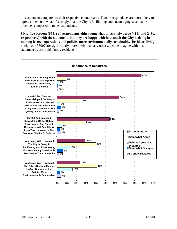this statement compared to their respective counterparts. Female respondents are more likely to agree, either somewhat of strongly, that the City is facilitating and encouraging sustainable practices compared to male respondents.

**Sixty-five percent (65%) of respondents either somewhat or strongly agree (41% and 24%, respectively) with the statement that they are happy with how much the City is doing in making its own operations and policies more environmentally sustainable.** Residents living in zip code 98007 are significantly more likely than any other zip code to agree with this statement as are multi-family residents.

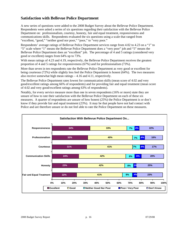# <span id="page-19-0"></span>**Satisfaction with Bellevue Police Department**

A new series of questions were added to the 2008 Budget Survey about the Bellevue Police Department. Respondents were asked a series of six questions regarding their satisfaction with the Bellevue Police Department on: professionalism, courtesy, honesty, fair and equal treatment, responsiveness and communications skills. Respondents evaluated the six questions using a scale that ranged from "excellent, "good," "neither good nor poor," "poor," to "very poor."

Respondents' average ratings of Bellevue Police Department services range from 4.02 to 4.23 on a "1" to "5" scale where "1" means the Bellevue Police Department does a "very poor" job and "5" means the Bellevue Police Department does an "excellent" job. The percentage of 4 and 5 ratings (considered very good or excellent) ranges from 64% up to 73%.

With mean ratings of 4.23 and 4.19, respectively, the Bellevue Police Department receives the greatest proportion of 4 and 5 ratings for responsiveness (67%) and for professionalism (73%).

More than seven in ten respondents rate the Bellevue Police Department as very good or excellent for being courteous (72%) while slightly less feel the Police Department is honest (64%). The two measures also receive somewhat high mean ratings – 4.16 and 4.11, respectively.

The Bellevue Police Department rates lowest for communication skills (mean score of 4.02 and very good/excellent ratings among 66% of respondents) and for providing fair and equal treatment (mean score of 4.02 and very good/excellent ratings among 63% of respondents).

Notably, for every service measure more than one in seven respondents (16% or more) state they are unsure of how to rate their satisfaction with the Bellevue Police Department on each of these six measures. A quarter of respondents are unsure of how honest (25%) the Police Department is or don't know if they provide fair and equal treatment (23%). It may be that people have not had contact with Police and are therefore unsure or do not feel able to rate the Police Department on these measures.

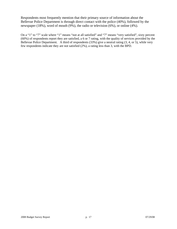Respondents most frequently mention that their primary source of information about the Bellevue Police Department is through direct contact with the police (40%), followed by the newspaper (18%), word of mouth (9%), the radio or television (6%), or online (4%).

On a "1" to "7" scale where "1" means "not at all satisfied" and "7" means "very satisfied", sixty percent (60%) of respondents report they are satisfied, a 6 or 7 rating, with the quality of services provided by the Bellevue Police Department. A third of respondents (33%) give a neutral rating (3, 4, or 5), while very few respondents indicate they are not satisfied (2%), a rating less than 3, with the BPD.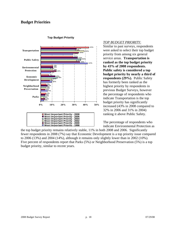<span id="page-21-0"></span>

#### **Top Budget Priority**

#### *TOP BUDGET PRIORITY:*

Similar to past surveys, respondents were asked to select their top budget priority from among six general service areas. **Transportation is ranked as the top budget priority by 43% of 2008 respondents. Public safety is considered a top budget priority by nearly a third of respondents (29%).** Public Safety has formerly been ranked as the highest priority by respondents in previous Budget Surveys, however the percentage of respondents who indicate Transportation is the top budget priority has significantly increased (43% in 2008 compared to 32% in 2006 and 31% in 2004) ranking it above Public Safety.

The percentage of respondents who indicate Environmental Protection as

the top budget priority remains relatively stable, 11% in both 2008 and 2006. Significantly fewer respondents in 2008 (7%) say that Economic Development is a top priority issue compared to 2006 (13%) and 2004 (14%), although it remains only slightly lower than in 2002 (10%). Five percent of respondents report that Parks (5%) or Neighborhood Preservation (5%) is a top budget priority, similar to recent years.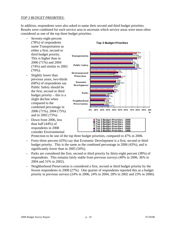#### *TOP 3 BUDGET PRIORITIES:*

In addition, respondents were also asked to name their second and third budget priorities. Results were combined for each service area to ascertain which service areas were most often considered as one of the top three budget priorities.

- − Seventy-eight percent (78%) of respondents name Transportation as either a first, second or third budget priority. This is higher than in 2006 (71%) and 2004 (74%) and similar to 2002 (79%).
- Slightly lower than previous years, two-thirds (68%) of respondents say Public Safety should be the first, second or third budget priority – this is a slight decline when compared to the combined percentage in 2006 (71%), 2004 (75%) and in 2002 (75%).
- − Down from 2006, less than half (44%) of respondents in 2008 consider Environmental



**Top 3 Budget Priorities - 2002 Top 3 Budget Priorities - 2000 Top 3 Budget Priorities - 1998**

Protection to be one of the top three budget priorities, compared to 47% in 2006.

- − Forty-three percent (43%) say that Economic Development is a first, second or third budget priority. This is the same as the combined percentage in 2006 (43%), and is significantly lower than in 2005 (50%).
- Parks are considered the first, second or third priority by thirty-eight percent (38%) of respondents. This remains fairly stable from previous surveys (40% in 2006, 36% in 2004 and 31% in 2002).
- − Neighborhood Preservation is considered a first, second or third budget priority by the fewest respondents in 2008 (27%). One quarter of respondents reported this as a budget priority in previous surveys (24% in 2006, 24% in 2004, 28% in 2002 and 23% in 2000).

**Top 3 Budget Priorities**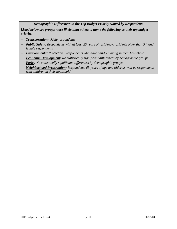*Demographic Differences in the Top Budget Priority Named by Respondents* 

*Listed below are groups more likely than others to name the following as their top budget priority:* 

- − *Transportation: Male respondents*
- − *Public Safety: Respondents with at least 25 years of residency, residents older than 54, and female respondents*
- − *Environmental Protection: Respondents who have children living in their household*
- − *Economic Development: No statistically significant differences by demographic groups*
- − *Parks: No statistically significant differences by demographic groups*
- − *Neighborhood Preservation: Respondents 65 years of age and older as well as respondents with children in their household*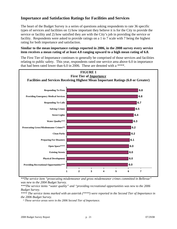## <span id="page-24-0"></span>**Importance and Satisfaction Ratings for Facilities and Services**

The heart of the Budget Survey is a series of questions asking respondents to rate 36 specific types of services and facilities on 1) how important they believe it is for the City to provide the service or facility and 2) how satisfied they are with the City's job in providing the service or facility. Respondents were asked to provide ratings on a 1 to 7 scale with 7 being the highest rating for both importance and satisfaction.

#### **Similar to the mean importance ratings reported in 2006, in the 2008 survey every service item receives a mean rating of at least 4.8 ranging upward to a high mean rating of 6.8.**

The First Tier of Importance continues to generally be comprised of those services and facilities relating to public safety. This year, respondents rated one service area above 6.0 in importance that had been rated lower than  $6.0$  in 2006. These are denoted with a \*\*\*\*.



*\*\*The service item "prosecuting misdemeanor and gross misdemeanor crimes committed in Bellevue" was new to the 2004 Budget Survey.* 

*\*\*\*The service items "water quality" and "providing recreational opportunities was new to the 2006 Budget Survey.* 

*\*\*\*\* The service items marked with an asterisk (\*\*\*\*) were reported in the Second Tier of Importance in the 2006 Budget Survey.* 

*^ These service areas were in the 2006 Second Tier of Importance.*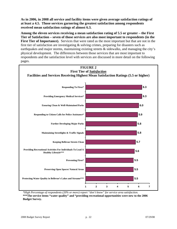**As in 2006, in 2008 all service and facility items were given average satisfaction ratings of at least a 4.5. Those services garnering the greatest satisfaction among respondents received mean satisfaction ratings of almost 6.3.** 

**Among the eleven services receiving a mean satisfaction rating of 5.5 or greater – the First Tier of Satisfaction – seven of those services are also most important to respondents (in the First Tier of Importance).** Services that were rated as the most important but that are not in the first tier of satisfaction are investigating  $\&$  solving crimes, preparing for disasters such as earthquakes and major storms, maintaining existing streets & sidewalks, and managing the city's physical development. The differences between those services that are most important to respondents and the satisfaction level with services are discussed in more detail on the following pages.



*\*High Percentage of respondents (20% or more) report "don't know" for service area satisfaction.*  **\*\*\*The service items "water quality" and "providing recreational opportunities were new to the 2006 Budget Survey.**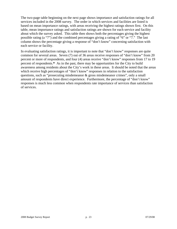The two-page table beginning on the next page shows importance and satisfaction ratings for all services included in the 2008 survey. The order in which services and facilities are listed is based on mean importance ratings, with areas receiving the highest ratings shown first. On this table, mean importance ratings and satisfaction ratings are shown for each service and facility about which the survey asked. This table then shows both the percentages giving the highest possible rating (a "7") and the combined percentages giving a rating of "6" or "7." The last column shows the percentage giving a response of "don't know" concerning satisfaction with each service or facility.

In evaluating satisfaction ratings, it is important to note that "don't know" responses are quite common for several areas. Seven (7) out of 36 areas receive responses of "don't know" from 20 percent or more of respondents, and four (4) areas receive "don't know" responses from 17 to 19 percent of respondents.**\*** As in the past, there may be opportunities for the City to build awareness among residents about the City's work in these areas. It should be noted that the areas which receive high percentages of "don't know" responses in relation to the satisfaction questions, such as "prosecuting misdemeanor & gross misdemeanor crimes", only a small amount of respondents have direct experience. Furthermore, the percentage of "don't know" responses is much less common when respondents rate importance of services than satisfaction of services.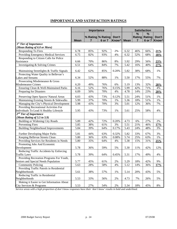#### **IMPORTANCE AND SATISFACTION RATINGS**

<span id="page-27-0"></span>

|                                            |                   | Importance |                   | <b>Satisfaction</b> |                   |     |               |                   |
|--------------------------------------------|-------------------|------------|-------------------|---------------------|-------------------|-----|---------------|-------------------|
|                                            |                   |            |                   |                     |                   | %   | %             |                   |
|                                            |                   |            | % Rating % Rating | Don't               |                   |     | Rating Rating | Don't             |
|                                            | <b>Mean</b>       | 7          | 6 or 7            | Know <sup>^</sup>   | <b>Mean</b>       | 7   | 6 or 7        | Know <sup>^</sup> |
| 1 <sup>st</sup> Tier of Importance         |                   |            |                   |                     |                   |     |               |                   |
| (Mean Rating of 6.0 or More)               |                   |            |                   |                     |                   |     |               |                   |
| <b>Responding To Fires</b>                 | 6.78              | 85%        | 92%               | 2%                  | 6.32              | 46% | 66%           | 21%               |
| Providing Emergency Medical Services       | 6.75              | 82%        | 93%               | 4%                  | 6.32              | 52% | 68%           | 18%               |
| Responding to Citizen Calls for Police     |                   |            |                   |                     |                   |     |               |                   |
| Assistance                                 | 6.66              | 70%        | 86%               | 8%                  | 5.92              | 29% | 56%           | 23%               |
| Investigating & Solving Crimes             | 6.51              | 64%        | 84%               | 7%                  | 5.42              | 16% | 40%           | 27%               |
| Maintaining Streetlights & Traffic Signals | 6.42              | 62%        | 85%               | 0.20%               | 5.82              | 38% | 68%           | 1%                |
| Protecting Water Quality in Bellevue's     |                   |            |                   |                     |                   |     |               |                   |
| <b>Lakes and Streams</b>                   | 6.34              | 52%        | 88%               | 1%                  | 5.50              | 17% | 55%           | 7%                |
| Prosecuting Misdemeanor & Gross            |                   |            |                   |                     |                   |     |               |                   |
| <b>Misdemeanor Crimes</b>                  | 6.20              | 49%        | 76%               | 6%                  | 5.19              | 13% | 32%           | 28%               |
| Ensuring Clean & Well-Maintained Parks     | 6.16              | 52%        | 76%               | 0.15%               | 5.99              | 42% | 71%           | 4%                |
| Preparing for Disasters                    | 6.09              | 50%        | 70%               | 4%                  | 4.78              | 14% | 23%           | 20%               |
| Preserving Open Spaces/ Natural Areas      | 6.03              | 43%        | 73%               | 0.12%               | 5.51              | 24% | 51%           | 1%                |
| Maintaining Existing Streets & Sidewalks   | 5.99              | 37%        | 70%               | 1%                  | $\overline{5.36}$ | 18% | 51%           | 1%                |
| Managing the City's Physical Development   | 5.98              | 43%        | 70%               | 3%                  | 5.01              | 12% | 36%           | 7%                |
| Providing Recreational Activities For      |                   |            |                   |                     |                   |     |               |                   |
| Individuals To Lead A Healthy Lifestyle    | 5.95              | 43%        | 73%               | 1%                  | 5.61              | 25% | 58%           | 4%                |
| $2nd$ Tier of Importance                   |                   |            |                   |                     |                   |     |               |                   |
| (Mean Rating of 5.5 to 5.9)                |                   |            |                   |                     |                   |     |               |                   |
| <b>Building or Widening City Roads</b>     | 5.89              | 42%        | 72%               | 0.20%               | 4.73              | 6%  | 27%           | $2\%$             |
| <b>Preventing Fires</b>                    | 5.85              | 38%        | 61%               | 3%                  | 5.51              | 21% | 46%           | 17%               |
| <b>Building Neighborhood Improvements</b>  | 5.84              | 39%        | 64%               | 0.17%               | 5.43              | 24% | 48%           | 3%                |
| Further Developing Major Parks             | 5.81              | 44%        | 63%               | 0.32%               | 5.82              | 33% | 67%           | 3%                |
| Keeping Bellevue Streets Clean             | 5.80              | 36%        | 63%               | 0.08%               | 5.74              | 25% | 63%           | 1%                |
| Providing Services for Residents in Needs  | 5.80              | 35%        | 64%               | 4%                  | 5.38              | 15% | 31%           | 25%               |
| Promoting Jobs And Economic                |                   |            |                   |                     |                   |     |               |                   |
| Development                                | 5.78              | 36%        | 59%               | 5%                  | 5.30              | 11% | 42%           | 12%               |
| Reducing Traffic Accidents by Enforcing    |                   |            |                   |                     |                   |     |               |                   |
| <b>Traffic Laws</b>                        | 5.78              | 39%        | 64%               | 0.45%               | 5.31              | 17% | 49%           | 4%                |
| Providing Recreation Programs For Youth,   |                   |            |                   |                     |                   |     |               |                   |
| Seniors and Special Needs Population       | 5.77              | 45%        | 61%               | 2%                  | 5.29              | 18% | 42%           | 9%                |
| <b>Community Policing</b>                  | $\overline{5.63}$ | 28%        | 58%               | 4%                  | $\overline{5.12}$ | 14% | 36%           | 17%               |
| Providing Traffic Patrols in Residential   |                   |            |                   |                     |                   |     |               |                   |
| Neighborhoods                              | 5.61              | 38%        | 57%               | 1%                  | 5.14              | 20% | 43%           | 5%                |
| Reducing Traffic in Residential            |                   |            |                   |                     |                   |     |               |                   |
| Neighborhoods                              | 5.53              | 33%        | 56%               | 2%                  | 4.73              | 7%  | 26%           | 5%                |
| Making it Easier to Get Information About  |                   |            |                   |                     |                   |     |               |                   |
| City Services & Programs                   | 5.53              | 27%        | 54%               | $2\%$               | 5.34              | 18% | 45%           | $8\%$             |
|                                            |                   |            |                   |                     |                   |     |               |                   |

*Service areas with a high proportion of don't know responses have their 'don't know' results in bold and underlined.*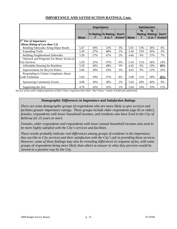|                                            | Importance  |     |                             |                 |             | <b>Satisfaction</b> |                                |                                   |  |  |
|--------------------------------------------|-------------|-----|-----------------------------|-----------------|-------------|---------------------|--------------------------------|-----------------------------------|--|--|
|                                            | <b>Mean</b> |     | % Rating % Rating<br>6 or 7 | Don't<br>lKnow^ | <b>Mean</b> | $\%$                | $\frac{0}{2}$<br>Rating Rating | Don't<br>6 or 7 Know <sup>^</sup> |  |  |
| $3^{rd}$<br><b>Tier of Importance</b>      |             |     |                             |                 |             |                     |                                |                                   |  |  |
| (Mean Rating of Less than 5.5)             |             |     |                             |                 |             |                     |                                |                                   |  |  |
| Building Sidewalks Along Major Roads       | 5.47        | 30% | 53%                         | 3%              | 5.01        | 13%                 | 36%                            | 6%                                |  |  |
| <b>Expanding Trails</b>                    | 5.39        | 27% | 48%                         | 1%              | 5.44        | 15%                 | 45%                            | 5%                                |  |  |
| <b>Building Neighborhood Sidewalks</b>     | 5.30        | 27% | 47%                         | 2%              | 4.66        | 9%                  | 27%                            | 7%                                |  |  |
| Outreach and Programs For Better Access to |             |     |                             |                 |             |                     |                                |                                   |  |  |
| <b>City Services</b>                       | 5.29        | 22% | 47%                         | 6%              | 5.16        | 11%                 | 36%                            | 14%                               |  |  |
| Affordable Housing for Residents           | 5.29        | 28% | 48%                         | 3%              | 4.45        | 6%                  | 19%                            | 18%                               |  |  |
| <b>Improvements for Bicycle Riders</b>     | 5.06        | 18% | 43%                         | 3%              | 4.63        | 9%                  | 22%                            | 10%                               |  |  |
| Responding to Citizen Complaints About     |             |     |                             |                 |             |                     |                                |                                   |  |  |
| <b>Code Violations</b>                     | 5.04        | 19% | 37%                         | 8%              | 5.08        | 11%                 | 30%                            | 26%                               |  |  |
| <b>Sponsoring Community Events</b>         | 4.98        | 18% | 38%                         | 3%              | 5.04        | 20%                 | 40%                            | 9%                                |  |  |
| Supporting the Arts                        | 4.78        | 16% | 32%                         | 1%              | 5.04        | 14%                 | 33%                            | 11%                               |  |  |

#### **IMPORTANCE AND SATISFACTION RATINGS, Cont.**

*Service areas with a high proportion of don't know responses have their 'don't know' results in bold and underlined.* 

#### *Demographic Differences in Importance and Satisfaction Ratings*

*There are some demographic groups of respondents who are more likely to give services and*  facilities greater importance ratings. These groups include older respondents (age 65 or older), *females, respondents with lesser household incomes, and residents who have lived in the City of Bellevue for 25 years or more.* 

*Females, older respondents and respondents with lower annual household incomes also tend to be more highly satisfied with the City's services and facilities.* 

*These results probably indicate real differences among groups of residents in the importance they ascribe to City services and their satisfaction with the City's job in providing these services. However, some of these findings may also be revealing differences in response styles, with some groups of respondents being more likely than others to answer in what they perceive would be viewed as a positive way by the City.*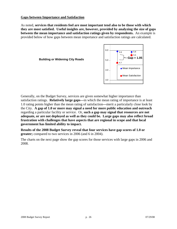#### <span id="page-29-0"></span>**Gaps between Importance and Satisfaction**

As noted, **services that residents feel are most important tend also to be those with which they are most satisfied. Useful insights are, however, provided by analyzing the size of gaps between the mean importance and satisfaction ratings given by respondents.** An example is provided below of how gaps between mean importance and satisfaction ratings are calculated.



Generally, on the Budget Survey, services are given somewhat higher importance than satisfaction ratings. **Relatively large gaps—**in which the mean rating of importance is at least 1.0 rating points higher than the mean rating of satisfaction**—**merit a particularly close look by the City. **A gap of 1.0 or more may signal a need for more public education and outreach**  regarding a particular facility or service. Or, **such a gap may signal that resources are not adequate, or are not deployed as well as they could be. Large gaps may also reflect broad frustration with challenges that have aspects that are regional in scope and that local government has limited ability to impact.** 

**Results of the 2008 Budget Survey reveal that four services have gap scores of 1.0 or greater;** compared to two services in 2006 (and 6 in 2004).

The charts on the next page show the gap scores for those services with large gaps in 2006 and 2008.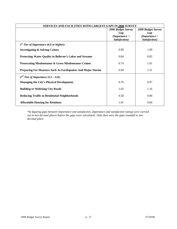| SERVICES AND FACILITIES WITH LARGEST GAPS IN 2008 SURVEY        |                                                             |                                                                    |  |  |  |  |  |
|-----------------------------------------------------------------|-------------------------------------------------------------|--------------------------------------------------------------------|--|--|--|--|--|
|                                                                 | 2006 Budget Survey<br>Gap<br>(Importance ><br>Satisfaction) | <b>2008 Budget Survey</b><br>Gap<br>(Importance ><br>Satisfaction) |  |  |  |  |  |
| $1st$ Tier of Importance (6.0 or higher):                       |                                                             |                                                                    |  |  |  |  |  |
| <b>Investigating &amp; Solving Crimes</b>                       | 0.89                                                        | 1.09                                                               |  |  |  |  |  |
| <b>Protecting Water Quality in Bellevue's Lakes and Streams</b> | 0.84                                                        | 0.85                                                               |  |  |  |  |  |
| <b>Prosecuting Misdemeanor &amp; Gross Misdemeanor Crimes</b>   | 0.74                                                        | 1.01                                                               |  |  |  |  |  |
| Preparing For Disasters Such As Earthquakes And Major Storms    | 0.94                                                        | 1.31                                                               |  |  |  |  |  |
| $2^{nd}$ Tier of Importance $(5.5 - 6.0)$ :                     |                                                             |                                                                    |  |  |  |  |  |
| <b>Managing the City's Physical Development</b>                 | 0.76                                                        | 0.97                                                               |  |  |  |  |  |
| <b>Building or Widening City Roads</b>                          | 1.05                                                        | 1.16                                                               |  |  |  |  |  |
| <b>Reducing Traffic in Residential Neighborhoods</b>            | 0.58                                                        | 0.80                                                               |  |  |  |  |  |
| <b>Affordable Housing for Residents</b>                         | 1.01                                                        | 0.84                                                               |  |  |  |  |  |

*\*In figuring gaps between importance and satisfaction, importance and satisfaction ratings were carried out to two decimal places before the gaps were calculated. Only then were the gaps rounded to one decimal place.*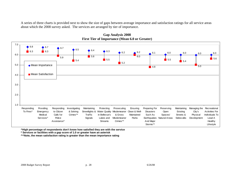A series of three charts is provided next to show the size of gaps between average importance and satisfaction ratings for all service areas about which the 2008 survey asked. The services are arranged by tier of importance.





**^High percentage of respondents don't know how satisfied they are with the service** 

**\* Services or facilities with a gap score of 1.0 or greater have an asterisk** 

**^^Note, the mean satisfaction rating is greater than the mean importance rating**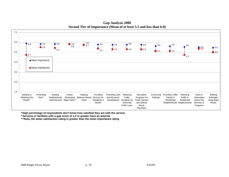$\blacklozenge$  5.8  $\frac{3}{5}$  5.8  $\frac{1}{5}$  5.7  $\frac{5.8}{5}$  $\bullet$  5.8  $\bullet$  5.8  $\bullet$  5.8 5.5<br>5.3  $\frac{5}{2}$  5.5 **4.7** 5.5 5.3 **5.3** 5.3 5.1 5.1 5.05.85.99  $\uparrow$  5.8  $\uparrow$  5.8  $\uparrow$  5.8  $\uparrow$  5.8  $\uparrow$  5.8  $\uparrow$  5.8  $\uparrow$  5.8  $\uparrow$  5.8  $\uparrow$  5.8  $\uparrow$  5.8  $\uparrow$  5.8  $\uparrow$  5.6 5.6  $5.6$   $5.6$  5.5 $5.8$   $\bigcirc$   $5.8$   $\bigcirc$   $5.8$   $\bigcirc$   $5.8$   $\bigcirc$   $5.8$   $\bigcirc$   $5.6$   $\bigcirc$   $5.6$   $\bigcirc$   $5.6$   $\bigcirc$   $5.6$   $\bigcirc$   $5.6$ 5.4 5.44.7 1.0 2.0 3.04.05.06.0 7.0 Building or Widening City Roads\*Preventing Fires^Building Neighborhood Developing Bellevue Streets Services for Improvements Major Parks^^ Further Keeping CleanProviding Residents inNeeds^Promoting Jobs And Economic Development Accidents by Reducing Traffic Enforcing Traffic LawsRecreation Programs For Youth, Seniors and Special NeedsPopulation Community Providing Traffic Policing^ Patrols inResidentialNeighborhoods Neighborhoods Reducing Traffic inResidentialEase of InformationAbout City Services &Programs Building SidewalksAlong Major Roads Mean Importance **Mean Satisfaction** 

**Gap Analysis 2008 Second Tier of Importance (Mean of at least 5.5 and less than 6.0)** 

**^High percentage of respondents don't know how satisfied they are with the service** 

**\* Services or facilities with a gap score of 1.0 or greater have an asterisk** 

**^^Note, the mean satisfaction rating is greater than the mean importance rating**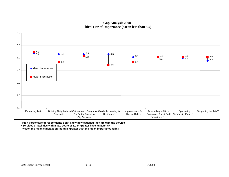

**Gap Analysis 2008 Third Tier of Importance (Mean less than 5.5)** 

**^High percentage of respondents don't know how satisfied they are with the service** 

**\* Services or facilities with a gap score of 1.0 or greater have an asterisk** 

**^^Note, the mean satisfaction rating is greater than the mean importance rating**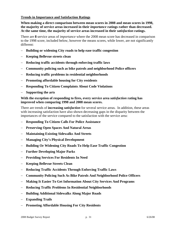#### <span id="page-34-0"></span>**Trends in Importance and Satisfaction Ratings**

**When making a direct comparison between mean scores in 2008 and mean scores in 1998, the majority of service areas increased in their** *importance* **ratings rather than decreased. At the same time, the majority of service areas increased in their** *satisfaction* **ratings.** 

There are **8** service areas of *importance* where the 2008 mean score has decreased in comparison to the 1998 score, included below, however the means scores, while lower, are not significantly different:

- − **Building or widening City roads to help ease traffic congestion**
- − **Keeping Bellevue streets clean**
- − **Reducing traffic accidents through enforcing traffic laws**
- − **Community policing such as bike patrols and neighborhood Police officers**
- − **Reducing traffic problems in residential neighborhoods**
- − **Promoting affordable housing for City residents**
- − **Responding To Citizen Complaints About Code Violations**
- − **Supporting the arts**

#### **With the exception of responding to fires, every service area** *satisfaction* **rating has improved when comparing 1998 and 2008 mean scores.**

There are trends of **increasing** *satisfaction* for several service areas. In addition, these areas with increasing satisfaction have also shown decreasing gaps in the disparity between the importances of the service compared to the satisfaction with the service area:

- − **Responding To Citizen Calls For Police Assistance**
- − **Preserving Open Spaces And Natural Areas**
- − **Maintaining Existing Sidewalks And Streets**
- − **Managing City's Physical Development**
- − **Building Or Widening City Roads To Help Ease Traffic Congestion**
- − **Further Developing Major Parks**
- − **Providing Services For Residents In Need**
- − **Keeping Bellevue Streets Clean**
- − **Reducing Traffic Accidents Through Enforcing Traffic Laws**
- − **Community Policing Such As Bike Patrols And Neighborhood Police Officers**
- − **Making It Easier To Get Information About City Services And Programs**
- − **Reducing Traffic Problems In Residential Neighborhoods**
- − **Building Additional Sidewalks Along Major Roads**
- − **Expanding Trails**
- − **Promoting Affordable Housing For City Residents**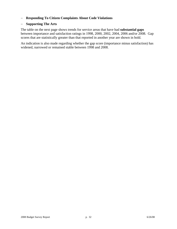#### − **Responding To Citizen Complaints About Code Violations**

#### − **Supporting The Arts**

The table on the next page shows trends for service areas that have had **substantial gaps** between importance and satisfaction ratings in 1998, 2000, 2002, 2004, 2006 and/or 2008. Gap scores that are statistically greater than that reported in another year are shown in bold.

An indication is also made regarding whether the gap score (importance minus satisfaction) has widened, narrowed or remained stable between 1998 and 2008.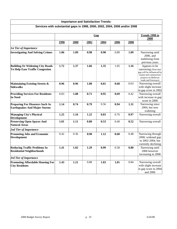|                                                                               |             |             | <b>Importance and Satisfaction Trends:</b> |      |      |      |                                                                                                                                               |
|-------------------------------------------------------------------------------|-------------|-------------|--------------------------------------------|------|------|------|-----------------------------------------------------------------------------------------------------------------------------------------------|
| Services with substantial gaps in 1998, 2000, 2002, 2004, 2006 and/or 2008    |             |             |                                            |      |      |      |                                                                                                                                               |
|                                                                               |             |             |                                            | Gap  |      |      | <b>Trends 1998 to</b><br>2008                                                                                                                 |
|                                                                               | <u>1998</u> | <b>2000</b> | <u>2002</u>                                | 2004 | 2006 | 2008 |                                                                                                                                               |
| <b>1st Tier of Importance</b>                                                 |             |             |                                            |      |      |      |                                                                                                                                               |
| <b>Investigating And Solving Crimes</b>                                       | 1.06        | 1.09        | 0.98                                       | 0.90 | 0.89 | 1.09 | Narrowing until<br>2006, and<br>stabilizing from<br>previous years                                                                            |
| <b>Building Or Widening City Roads</b><br>To Help Ease Traffic Congestion     | 1.72        | 1.37        | 1.66                                       | 1.35 | 1.05 | 1.16 | Appears to be<br>narrowing (Note that<br>gap will be influenced by<br>transit and construction<br>projects on Bellevue<br>roads and freeways) |
| <b>Maintaining Existing Streets &amp;</b><br><b>Sidewalks</b>                 | 0.96        | 0.96        | 1.08                                       | 0.81 | 0.68 | 0.63 | Narrowing overall<br>with slight increase<br>in gap score in 2002                                                                             |
| <b>Providing Services For Residents</b><br><b>In Need</b>                     | 0.83        | 1.08        | 0.71                                       | 0.95 | 0.69 | 0.42 | Narrowing overall<br>with increase in gap<br>score in 2000                                                                                    |
| <b>Preparing For Disasters Such As</b><br><b>Earthquakes And Major Storms</b> | 1.14        | 0.74        | 0.79                                       | 0.56 | 0.94 | 1.31 | Narrowing since<br>2004, but now<br>widening                                                                                                  |
| <b>Managing City's Physical</b><br><b>Development</b>                         | 1.25        | 1.16        | 1.22                                       | 0.83 | 0.76 | 0.97 | Narrowing overall                                                                                                                             |
| <b>Preserving Open Spaces And</b><br><b>Natural Areas</b>                     | 1.01        | 1.11        | 0.80                                       | 0.53 | 0.40 | 0.52 | Narrowing overall                                                                                                                             |
| 2nd Tier of Importance                                                        |             |             |                                            |      |      |      |                                                                                                                                               |
| <b>Promoting Jobs and Economic</b><br><b>Development</b>                      | 0.42        | 0.36        | 0.90                                       | 1.12 | 0.60 | 0.48 | Narrowing through<br>2000; widened gap<br>in 2002-2004, but<br>currently declining                                                            |
| <b>Reducing Traffic Problems In</b><br><b>Residential Neighborhoods</b>       | 1.41        | 1.02        | 1.29                                       | 0.99 | 0.58 | 0.80 | Narrowing until<br>2006 however<br>increasing in 2008                                                                                         |
| 3rd Tier of Importance                                                        |             |             |                                            |      |      |      |                                                                                                                                               |
| <b>Promoting Affordable Housing For</b><br><b>City Residents</b>              | 1.43        | 1.21        | 0.88                                       | 1.03 | 1.01 | 0.84 | Narrowing overall<br>with slight increase<br>in gap score in 2004<br>and 2006                                                                 |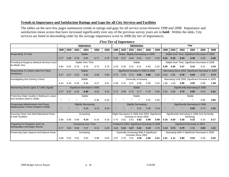## **Trends in Importance and Satisfaction Ratings and Gaps for all City Services and Facilities**

The tables on the next few pages summarize trends in ratings and gaps for *all service areas between 1998 and 2008.* Importance and satisfaction mean scores that have increased significantly over any of the previous survey years are in **bold**. Within the table, City services are listed in descending order by the average importance score in 2008 (by tier of importance).

|                                                                      |         | Importance |      |                                                                |      |      | <b>Satisfaction</b> |      |                                               |                            |                                                |      | Gap  |      |      |                                 |                                                    |      |
|----------------------------------------------------------------------|---------|------------|------|----------------------------------------------------------------|------|------|---------------------|------|-----------------------------------------------|----------------------------|------------------------------------------------|------|------|------|------|---------------------------------|----------------------------------------------------|------|
|                                                                      | 1998    | 2000       | 2002 | 2004                                                           | 2006 | 2008 | 1998                | 2000 | 2002                                          | 2004                       | 2006                                           | 2008 | 1998 | 2000 | 2002 | 2004                            | 2006                                               | 2008 |
| <b>Responding To Fires</b>                                           |         |            |      | <b>Stable</b>                                                  |      |      |                     |      |                                               |                            | Stable; Slightly Decreasing In 2008            |      |      |      |      |                                 | Stable Over Time; Significant Decrease In 2006     |      |
|                                                                      | 6.77    | 6.80       | 6.78 | 6.81                                                           | 6.77 | 6.78 | 6.36                | 6.37 | 6.44                                          | 6.41                       | 6.47                                           | 6.32 | 0.41 | 0.43 | 0.34 | 0.40                            | 0.30                                               | 0.46 |
| Providing Emergency Medical Services Such                            |         |            |      | Stable Over Time                                               |      |      |                     |      |                                               | Stable                     |                                                |      |      |      |      |                                 | Stable Over Time; Significant Decrease In 2006     |      |
| As Medic One                                                         | 6.66    | 6.81       | 6.78 | 6.75                                                           | 6.70 | 6.75 | 6.26                | 6.35 | 6.41                                          | 6.41                       | 6.40                                           | 6.32 | 0.40 | 0.46 | 0.37 | 0.34                            | 0.31                                               | 0.43 |
| Responding To Citizen Calls For Police                               |         |            |      | <b>Stable</b>                                                  |      |      |                     |      |                                               |                            | Significant Increase In 2004 & 2006            |      |      |      |      |                                 | Narrowing Since 2002; Significant Decrease In 2006 |      |
| Assistance                                                           | 6.57    | 6.57       | 6.52 | 6.62                                                           | 6.58 | 6.66 | 5.75                | 5.75 | 5.74                                          | 5.93                       | 5.96                                           | 5.92 | 0.82 | 0.82 | 0.78 | 0.69                            | 0.62                                               | 0.74 |
| <b>Investigating And Solving Crimes</b>                              |         |            |      | Stable                                                         |      |      |                     |      |                                               | Generally Increasing       |                                                |      |      |      |      |                                 | Narrowing Until 2006; Significant Increase In 2008 |      |
|                                                                      | 6.44    | 6.40       | 6.45 | 6.46                                                           | 6.47 | 6.51 | 5.38                | 5.31 | 5.47                                          | 5.56                       | 5.58                                           | 5.42 | 1.06 | 1.09 | 0.98 | 0.90                            | 0.89                                               | 1.09 |
| Maintaining Street Lights & Traffic Signals                          |         |            |      | Significant Decrease In 2006                                   |      |      |                     |      |                                               | <b>Stable</b>              |                                                |      |      |      |      | Significantly Narrowing In 2006 |                                                    |      |
|                                                                      | 6.27    | 6.37       | 6.42 | 6.46                                                           | 6.32 | 6.42 | 5.73                | 5.69 | 5.72                                          | 5.77                       | 5.78                                           | 5.82 | 0.54 | 0.68 | 0.70 | 0.69                            | 0.54                                               | 0.61 |
| Protecting Water Quality In Bellevue's Lakes                         |         |            |      | Stable                                                         |      |      |                     |      |                                               | Stable                     |                                                |      |      |      |      | Stable                          |                                                    |      |
| And Streams (New In 2006)                                            | $\star$ |            |      |                                                                | 6.36 | 6.34 |                     |      |                                               |                            | 5.52                                           | 5.50 |      |      |      |                                 | 0.84                                               | 0.85 |
| <b>Prosecuting Misdemeanor And Gross</b>                             |         |            |      | <b>Slightly Decreasing</b>                                     |      |      |                     |      |                                               | <b>Slightly Decreasing</b> |                                                |      |      |      |      | Significantly Narrowing In 2006 |                                                    |      |
| Misdemeanor Crimes (Added In 2004)                                   |         |            |      | 6.26                                                           | 6.13 | 6.20 |                     |      |                                               | 5.31                       | 5.38                                           | 5.19 |      |      |      | 0.95                            | 0.74                                               | 1.01 |
| <b>Ensuring Clean And Well-Maintained Parks</b><br>& Park Facilities |         |            |      | Increasing                                                     |      |      |                     |      |                                               | Increase In Since 2004     | Slight Decreases In 2000 And 2002; Significant |      |      |      |      | Declining                       | Significantly Narrowing In 2006 And Generally      |      |
|                                                                      | 5.88    | 5.90       | 6.00 | 6.14                                                           | 6.16 | 6.16 | 5.70                | 5.61 | 5.62                                          | 5.82                       | 5.99                                           | 5.99 | 0.18 | 0.29 | 0.38 | 0.32                            | 0.16                                               | 0.17 |
| <b>Preparing For Disasters Such As</b>                               |         |            |      | <b>Increasing Over Time</b>                                    |      |      |                     |      |                                               |                            | Peaked In 2004; Significant Decrease In 2008   |      |      |      |      | Significant Decrease In 2004    |                                                    |      |
| <b>Earthquakes And Major Storms</b>                                  | 5.77    | 5.84       | 6.06 | 5.97                                                           | 6.13 | 6.09 | 4.63                | 5.10 | 5.27                                          | 5.41                       | 5.19                                           | 4.78 | 1.14 | 0.74 | 0.79 | 0.56                            | 0.94                                               | 1.31 |
| Preserving Open Spaces And Natural Areas<br>Increasing               |         |            |      | Generally Increasing With A Significant<br>Increase Since 2004 |      |      |                     |      | Narrowing With A Significant Decrease In 2006 |                            |                                                |      |      |      |      |                                 |                                                    |      |
|                                                                      | 5.98    | 5.81       | 5.81 | 5.82                                                           | 5.98 | 6.03 | 4.97                | 4.70 | 5.01                                          | 5.29                       | 5.58                                           | 5.51 | 1.01 | 1.11 | 0.80 | 0.53                            | 0.40                                               | 0.52 |

#### *First Tier of Importance*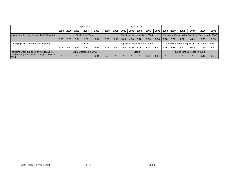|                                                     |                         | Importance       |      |        |      | Satisfaction |                                 |        |      |      |      | Gap                                           |                                                     |                              |      |      |      |      |
|-----------------------------------------------------|-------------------------|------------------|------|--------|------|--------------|---------------------------------|--------|------|------|------|-----------------------------------------------|-----------------------------------------------------|------------------------------|------|------|------|------|
|                                                     | 1998                    | 2000             | 2002 | 2004   | 2006 | 2008         | 1998                            | 2000   | 2002 | 2004 | 2006 | 2008                                          | 1998                                                | 2000                         | 2002 | 2004 | 2006 | 2008 |
| Maintaining Existing Streets And Sidewalks          |                         | Stable Over Time |      |        |      |              | Significant Increase Since 2004 |        |      |      |      |                                               | Narrowing Overall With Significant Decrease In 2008 |                              |      |      |      |      |
|                                                     | 5.98                    | 6.00             | 6.06 | 6.09   | 6.01 | 5.99         | 5.02                            | 5.04   | 4.98 | 5.28 | 5.33 | 5.36                                          | 0.96                                                | 0.96                         | 1.08 | 0.81 | 0.68 | 0.63 |
| Managing City's Physical Development                |                         |                  |      | Stable |      |              | Significant Increase Since 2004 |        |      |      |      | Narrowing With A Significant Decrease In 2006 |                                                     |                              |      |      |      |      |
|                                                     | 5.94                    | 5.80             | 5.92 | 5.89   | 5.94 | 5.98         | 4.69                            | 4.64   | 4.70 | 5.06 | 5.18 | 5.01                                          | 1.25                                                | 1.16                         | 1.22 | 0.83 | 0.76 | 0.97 |
| Providing Opportunities For Individuals To          | Slight Decrease In 2008 |                  |      |        |      |              |                                 | Stable |      |      |      |                                               |                                                     | Significant Decrease In 2008 |      |      |      |      |
| Lead Healthy And Active Lifestyles (New In<br>2006) |                         |                  |      |        | 6.04 | 5.95         |                                 |        |      |      | 5.61 | 5.61                                          |                                                     |                              |      |      | 0.43 | 0.34 |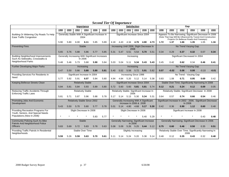|                                                                              | Importance |      |      |                                                            |      | <b>Satisfaction</b> |      |                                            |                         |           |      | Gap  |      |                                                                                                                        |      |                                          |         |         |
|------------------------------------------------------------------------------|------------|------|------|------------------------------------------------------------|------|---------------------|------|--------------------------------------------|-------------------------|-----------|------|------|------|------------------------------------------------------------------------------------------------------------------------|------|------------------------------------------|---------|---------|
|                                                                              | 1998       | 2000 | 2002 | 2004                                                       | 2006 | 2008                | 1998 | 2000                                       | 2002                    | 2004      | 2006 | 2008 | 1998 | 2000                                                                                                                   | 2002 | 2004                                     | 2006    | 2008    |
| Building Or Widening City Roads To Help<br><b>Ease Traffic Congestion</b>    |            |      |      | Generally Stable With A Significant Increase In<br>2004    |      |                     |      | Significant Increase Since 2004            |                         |           |      |      |      | Appears To Be Narrowing; Significant Decrease In 2006<br>(Note That Gap Will Be Influenced By Transit And Construction |      | Projects On Bellevue Roads And Freeways) |         |         |
|                                                                              | 5.90       | 5.80 | 6.00 | 6.11                                                       | 5.85 | 5.89                | 4.18 | 4.43                                       | 4.34                    | 4.76      | 4.80 | 4.73 | 1.72 | 1.37                                                                                                                   | 1.66 | 1.35                                     | 1.05    | 1.16    |
| <b>Preventing Fires</b>                                                      |            |      |      | <b>Stable</b>                                              |      |                     |      | Increasing Until 2006; Slight Decrease In  | 2008                    |           |      |      |      |                                                                                                                        |      | No Trend Varying Gap                     |         |         |
|                                                                              | 5.65       | 5.76 | 5.88 | 5.86                                                       | 5.77 | 5.85                | 5.31 | 5.47                                       |                         | 5.51 5.54 | 5.70 | 5.51 | 0.34 | 0.29                                                                                                                   | 0.37 | 0.32                                     | 0.07    | 0.34    |
| <b>Building Neighborhood Improvements</b><br>Such As Sidewalks, Crosswalks & |            |      |      | Generally Increasing With Significant Increases<br>In 2006 |      |                     |      |                                            | Increasing              |           |      |      |      |                                                                                                                        |      | Significant Decreased In 2004            |         |         |
| Neighborhood Parks                                                           | 5.48       | 5.46 | 5.73 | 5.68                                                       | 5.90 | 5.84                | 5.03 | 5.04                                       | 5.11                    | 5.34      | 5.43 | 5.43 | 0.45 | 0.42                                                                                                                   | 0.62 | 0.34                                     | 0.46    | 0.41    |
| <b>Further Developing Major Parks</b>                                        |            |      |      | Increasing                                                 |      |                     |      |                                            | Increasing              |           |      |      |      |                                                                                                                        |      | No Trend Varying Gap                     |         |         |
|                                                                              | 5.47       | 5.50 | 5.66 | 5.80                                                       | 5.80 | 5.81                | 5.40 | 5.52                                       | 5.58                    | 5.72      | 5.91 | 5.82 | 0.07 | $-0.02$                                                                                                                | 0.08 | 0.08                                     | $-0.10$ | $-0.01$ |
| Providing Services For Residents In                                          |            |      |      | Significant Increase In 2004                               |      |                     |      |                                            | Increasing Since 1998   |           |      |      |      |                                                                                                                        |      | No Trend - Varying Gap                   |         |         |
| Need                                                                         | 5.77       | 5.92 | 5.91 | 6.07                                                       | 5.84 | 5.80                | 4.94 | 4.84                                       | 5.20 5.12               |           | 5.14 | 5.38 | 0.83 | 1.08                                                                                                                   | 0.71 | 0.95                                     | 0.69    | 0.42    |
| Keeping Bellevue Streets Clean                                               |            |      |      | <b>Relatively Stable</b>                                   |      |                     |      | Significant Increase Since 2004            |                         |           |      |      |      | Stable Over Time; Significantly Narrowing In 2008                                                                      |      |                                          |         |         |
|                                                                              | 5.84       | 5.81 | 5.84 | 5.93                                                       | 5.89 | 5.80                | 5.72 | 5.60                                       | 5.60                    | 5.81      | 5.81 | 5.74 | 0.12 | 0.21                                                                                                                   | 0.24 | 0.12                                     | 0.09    | 0.05    |
| Reducing Traffic Accidents Through<br><b>Enforcing Traffic Laws</b>          |            |      |      | <b>Relatively Stable</b>                                   |      |                     |      | Relatively Stable; Significant Increase In |                         | 2006      |      |      |      | Relatively Stable; Significant Decrease In 2008                                                                        |      |                                          |         |         |
|                                                                              | 5.81       | 5.71 | 5.87 | 5.96                                                       | 5.88 | 5.78                | 5.17 |                                            | 5.14 5.13 5.30          |           | 5.34 | 5.31 | 0.64 | 0.57                                                                                                                   | 0.74 | 0.66                                     | 0.54    | 0.46    |
| Promoting Jobs And Economic<br>Development                                   |            |      |      | Relatively Stable Since 2002                               |      |                     |      | Generally Increasing With A Significant    | Increase In 2006 & 2008 |           |      |      |      | Significant Increase In 2002 - 2006. Significant Decrease                                                              |      | In 2008                                  |         |         |
|                                                                              | 5.43       | 5.50 | 5.70 | 5.80                                                       | 5.77 | 5.78                | 5.01 |                                            | 5.14 4.80 4.68          |           | 5.17 | 5.30 | 0.42 | 0.36                                                                                                                   | 0.90 | 1.12                                     | 0.60    | 0.48    |
| Providing Recreation Programs For<br>Youth, Seniors, And Special Needs       |            |      |      | Slight Decrease In 2008                                    |      |                     |      |                                            | Slight Decrease In 2008 |           |      |      |      |                                                                                                                        |      | Significant Increase In 2008             |         |         |
| Populations (New In 2006)                                                    |            |      |      |                                                            | 5.83 | 5.77                |      |                                            |                         |           | 5.40 | 5.29 |      |                                                                                                                        |      |                                          | 0.43    | 0.48    |
| <b>Community Policing Such As Bike</b><br>Patrols And Neighborhood Police    |            |      |      | <b>Stable</b>                                              |      |                     |      | Generally Narrowing; Significant Increase  | In 2006                 |           |      |      |      | Generally Narrowing; Significant Decrease In 2006                                                                      |      |                                          |         |         |
| <b>Officers</b>                                                              | 5.83       | 5.69 | 5.72 | 5.83                                                       | 5.78 | 5.63                | 5.08 | 5.09                                       | 5.26                    | 5.25      | 5.44 | 5.12 | 0.75 | 0.60                                                                                                                   | 0.46 | 0.58                                     | 0.35    | 0.51    |
| Providing Traffic Patrols In Residential<br>Neighborhoods                    |            |      |      | Stable Over Time                                           |      |                     |      |                                            | Slightly Increasing     |           |      |      |      | Relatively Stable Over Time; Significantly Narrowing In                                                                |      | 2006                                     |         |         |
|                                                                              | 5.59       | 5.26 | 5.59 | 5.63                                                       | 5.70 | 5.61                | 5.11 | 5.14                                       | 5.24                    | 5.20      | 5.38 | 5.14 | 0.48 | 0.12                                                                                                                   | 0.35 | 0.43                                     | 0.32    | 0.48    |

# *Second Tier Of Importance*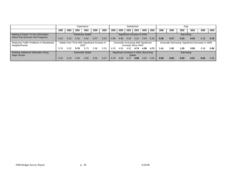|                                                                  |      | Importance               |      |                                                       |      | Satisfaction |                              |      |                     | Gap           |                                        |           |      |      |                                                   |      |      |      |
|------------------------------------------------------------------|------|--------------------------|------|-------------------------------------------------------|------|--------------|------------------------------|------|---------------------|---------------|----------------------------------------|-----------|------|------|---------------------------------------------------|------|------|------|
|                                                                  | 1998 | 2000                     | 2002 | 2004                                                  | 2006 | 2008         | 1998                         | 2000 | 2002                | 2004          | 2006                                   | 2008      | 1998 | 2000 | 2002                                              | 2004 | 2006 | 2008 |
| Making It Easier To Get Information                              |      | <b>Relatively Stable</b> |      |                                                       |      |              | Significant Increase In 2004 |      |                     |               |                                        | Narrowing |      |      |                                                   |      |      |      |
| <b>About City Services And Programs</b>                          | 5.32 | 5.23                     | 5.43 | 5.42                                                  | 5.57 | 5.53         | 4.96                         | 4.96 | 5.20                | 5.22          | 5.39                                   | 5.34      | 0.36 | 0.27 | 0.23                                              | 0.20 | 0.18 | 0.19 |
| Reducing Traffic Problems In Residential<br>Neighborhoods        |      |                          |      | Stable Over Time With Significant Increase In<br>2002 |      |              |                              |      | Increase Since 2004 |               | Generally Increasing With Significant  |           |      |      | Generally Narrowing; Significant Decrease In 2006 |      |      |      |
|                                                                  | 5.76 | 5.52                     | 5.79 | 5.73                                                  | 5.56 | 5.53         | 4.35                         | 4.50 | 4.50                | 4.74          | 4.99                                   | 4.73      | 1.41 | 1.02 | 1.29                                              | 0.99 | 0.58 | 0.80 |
| <b>Building Additional Sidewalks Along</b><br><b>Major Roads</b> |      |                          |      | <b>Generally Stable</b>                               |      |              |                              |      |                     | <b>Stable</b> | Significant Increase In 2004; Becoming |           |      |      | Narrowing                                         |      |      |      |
|                                                                  | 5.32 | 5.23                     | 5.40 | 5.50                                                  | 5.55 | 5.47         | 4.76                         | 4.60 | 4.77                | 4.99          | 4.93                                   | 5.01      | 0.56 | 0.63 | 0.63                                              | 0.51 | 0.63 | 0.46 |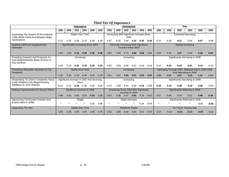|                                                                                             |      | Importance                                 |                              |      |      |                                                              |      | <b>Satisfaction</b>                        |                        |      |                            | Gap  |         |         |                                                                           |      |         |         |
|---------------------------------------------------------------------------------------------|------|--------------------------------------------|------------------------------|------|------|--------------------------------------------------------------|------|--------------------------------------------|------------------------|------|----------------------------|------|---------|---------|---------------------------------------------------------------------------|------|---------|---------|
|                                                                                             | 1998 | 2000                                       | 2002                         | 2004 | 2006 | 2008                                                         | 1998 | 2000                                       | 2002                   | 2004 | 2006                       | 2008 | 1998    | 2000    | 2002                                                                      | 2004 | 2006    | 2008    |
| Expanding The System Of Recreational<br>Trails Within Parks And Between Major               |      |                                            | Stable Over Time             |      |      |                                                              |      | Increasing With Significant Increase Since | 2004                   |      |                            |      |         |         | <b>Generally Narrowing</b>                                                |      |         |         |
| <b>Destinations</b>                                                                         | 5.12 | 5.20                                       | 5.30                         | 5.37 | 5.50 | 5.39                                                         | 4.97 | 5.02                                       | 5.09                   | 5.33 | 5.43                       | 5.44 | 0.15    | 0.18    | 0.21                                                                      | 0.04 | 0.07    | $-0.06$ |
| <b>Building Additional Neighborhood</b><br><b>Sidewalks</b>                                 |      | Significantly Increasing Since 2002        |                              |      |      | Generally Increasing With Significant<br>Increase Since 2004 |      |                                            |                        |      | <b>Slightly Increasing</b> |      |         |         |                                                                           |      |         |         |
|                                                                                             | 4.94 | 4.94                                       | 5.18                         | 5.29 | 5.32 | 5.30                                                         | 4.66 | 4.59                                       | 4.71                   | 4.95 | 4.96                       | 4.66 | 0.28    | 0.35    | 0.47                                                                      | 0.34 | 0.36    | 0.64    |
| Providing Outreach And Programs To<br>Give Neighborhoods Better Access To<br>City Services. |      |                                            | Increasing                   |      |      |                                                              |      |                                            | Increasing             |      |                            |      |         |         | Significantly Narrowing In 2008                                           |      |         |         |
|                                                                                             | 5.05 | 5.15                                       | 5.30                         | 5.33 | 5.30 | 5.29                                                         | 4.93 | 4.93                                       | 5.06                   | 5.12 | 5.16                       | 5.16 | 0.12    | 0.22    | 0.24                                                                      | 0.21 | 0.14    | 0.13    |
| Promoting Affordable Housing For City<br>Residents                                          |      |                                            | <b>Stable Over Time</b>      |      |      |                                                              |      |                                            | Increasing             |      |                            |      |         |         | Narrowing Through 2002; Widened Gap In 2004-2006<br>And Narrowing In 2008 |      |         |         |
|                                                                                             | 5.35 | 5.23                                       | 5.23                         | 5.34 | 5.44 | 5.29                                                         | 3.92 | 4.02                                       | 4.35                   | 4.31 | 4.43                       | 4.45 | 1.43    | 1.21    | 0.87                                                                      | 1.03 | 1.01    | 0.84    |
| Responding To Citizen Complaints About<br>Code Violations Like Illegal Housing              |      | Significant Increase In 2002 And Declining | Since                        |      |      |                                                              |      |                                            | Increasing             |      |                            |      |         |         | Significantly Narrowing In 2008                                           |      |         |         |
| Additions Or Junk Vehicles.                                                                 | 5.13 | 5.11                                       | 5.35                         | 5.28 | 5.25 | 5.04                                                         | 4.74 | 4.98                                       | 4.97                   | 5.09 | 5.19                       | 5.08 | 0.39    | 0.13    | 0.38                                                                      | 0.19 | 0.06    | $-0.03$ |
| Making Improvements For Bicycle Riders                                                      |      |                                            | Significant Increase In 2006 |      |      |                                                              |      | Increasing Since 2000 With Significant     | Increase In 2004       |      |                            |      |         |         | Significantly Widening In 2006                                            |      |         |         |
|                                                                                             | 4.89 | 4.82                                       | 4.90                         | 5.02 | 5.23 | 5.06                                                         | 4.42 | 4.36                                       | 4.57 4.81              |      | 4.78                       | 4.63 | 0.47    | 0.46    | 0.33                                                                      | 0.21 | 0.46    | 0.44    |
| Sponsoring Community Festivals And                                                          |      |                                            | Stable                       |      |      |                                                              |      |                                            | <b>Slight Decrease</b> |      |                            |      |         |         | Significantly Widening In 2008                                            |      |         |         |
| Events (New In 2006)                                                                        |      |                                            |                              |      | 5.01 | 4.98                                                         |      |                                            |                        |      | 5.24                       | 5.04 | $\star$ |         |                                                                           |      | $-0.02$ | $-0.06$ |
| <b>Supporting The Arts</b>                                                                  |      | <b>Stable Over Time</b>                    |                              |      |      | <b>Relatively Stable</b>                                     |      |                                            |                        |      | No Trend, Varying Gap      |      |         |         |                                                                           |      |         |         |
|                                                                                             | 4.83 | 4.69                                       | 4.85                         | 4.97 | 4.98 | 4.78                                                         | 4.90 | 4.85                                       | 5.00                   | 4.84 | 5.01                       | 5.04 | $-0.07$ | $-0.16$ | $-0.15$                                                                   | 0.13 | $-0.03$ | $-0.26$ |

# *Third Tier Of Importance*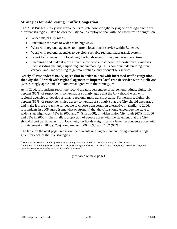# **Strategies for Addressing Traffic Congestion**

The 2008 Budget Survey asks respondents to state how strongly they agree or disagree with six different strategies (listed below) the City could employ to deal with increased traffic congestion.

- Widen major City roads.
- Encourage the state to widen state highways.
- Work with regional agencies to improve local transit service within Bellevue.
- Work with regional agencies to develop a reliable regional mass transit system.
- Divert traffic away from local neighborhoods even if it may increase travel time.
- Encourage and make it more attractive for people to choose transportation alternatives such as riding the bus, carpooling, and vanpooling. This could include building more carpool lanes and working to get more reliable and frequent bus service.

## **Nearly all respondents (92%) agree that in order to deal with increased traffic congestion, the City should work with regional agencies to improve local transit service within Bellevue** (68% strongly agree and 24% somewhat agree with this strategy).\*

As in 2006, respondents report the second greatest percentage of agreement ratings, eighty-six percent (86%) of respondents somewhat or strongly agree that the City should work with regional agencies to develop a reliable regional mass transit system. Furthermore, eighty-six percent (86%) of respondents also agree (somewhat or strongly) that the City should encourage and make it more attractive for people to choose transportation alternatives. Similar to 2006, respondents in 2008 agree (somewhat or strongly) that the City should encourage the state to widen state highways (73% in 2006 and 74% in 2008), or widen major City roads (67% in 2006 and 68% in 2008). The smallest proportion of people agree with the statement that the City should divert traffic away from local neighborhoods – significantly fewer respondents agree with this statement in 2008 (52%) compared to 2006 (65%) and 2002 (64%).

The table on the next page breaks out the percentage of agreement and disagreement ratings given for each of the five strategies.

*\* Note that the wording on this question was slightly altered in 2006. In the 2004 survey the phrase was: "Work with regional agencies to improve transit service for Bellevue." In 2006 it was changed to: "Work with regional agencies to improve local transit service within Bellevue."* 

(see table on next page)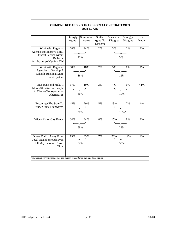| OPINIONS REGARDING TRANSPORTATION STRATEGIES                                                                                                        |                   | 2008 Survey                            |                                  |                                 |                                       |               |
|-----------------------------------------------------------------------------------------------------------------------------------------------------|-------------------|----------------------------------------|----------------------------------|---------------------------------|---------------------------------------|---------------|
|                                                                                                                                                     | Strongly<br>Agree | Somewhat<br>Agree                      | Neither<br>Agree Nor<br>Disagree | Somewhat<br>Disagree            | Strongly<br>Disagree                  | Don't<br>Know |
| Work with Regional<br>Agencies to Improve Local<br><b>Transit Service within</b><br><b>Bellevue</b><br>(wording changed slightly in 2006<br>survey) | 68%               | 24%<br>92%                             | 2%                               | 3%<br>5%                        | 2%                                    | 1%            |
| Work with Regional<br>Agencies to Develop A<br><b>Reliable Regional Mass</b><br><b>Transit System</b>                                               | 68%               | 18%<br>$\overline{\phantom{a}}$<br>86% | 2%                               | 5%                              | 6%<br>$\overline{\phantom{a}}$<br>11% | 1%            |
| Encourage and Make it<br>More Attractive for People<br>to Choose Transportation<br>Alternatives                                                     |                   | 67% 19%<br>86%                         | 3%                               | 4%                              | 6%<br>10%                             | ${<}1\%$      |
| Encourage The State To<br>Widen State Highways*                                                                                                     | 45%               | 29%<br>$\overline{\phantom{a}}$<br>74% | 5%                               | 13%<br>$\overline{\phantom{a}}$ | 7%<br>19%*                            | 1%            |
| Widen Major City Roads                                                                                                                              | 34%               | 34%<br>68%                             | 8%                               | 15%                             | 8%<br>23%                             | 1%            |
| Divert Traffic Away From<br>Local Neighborhoods Even<br>If It May Increase Travel<br>Time                                                           | 19%               | 33%<br>52%                             | 7%                               | 20%                             | 19%<br>39%                            | 2%            |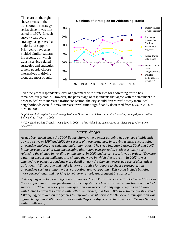The chart on the right shows trends in the transportation strategy series since it was first asked in 1997. In each survey year, every strategy has garnered a majority of support. Prior years have also yielded similar patterns in responses in which transit service-related strategies and strategies to help people choose alternatives to driving alone are most popular.



Over the years respondent's level of agreement with strategies for addressing traffic has remained fairly stable. However, the percentage of respondents that agree with the statement "in order to deal with increased traffic congestion, the city should divert traffic away from local neighborhoods even if it may increase travel time" significantly decreased from 65% in 2006 to 52% in 2008.

*\*Opinions of Strategies for Addressing Traffic – "Improve Local Transit Service" wording changed from "within Bellevue" to "local" in 2006.* 

*\*\*"Developing Mass Transit" was added in 2006 – it has yielded the same scores as "Encourage Alternative Choices".* 

#### *Survey Changes*

*As has been noted since the 2004 Budget Survey, the percent agreeing has trended significantly upward between 1997 and 2002 for several of these strategies: improving transit, encouraging alternative choices, and widening major city roads. The steep increase between 2000 and 2002 in the percent agreeing with encouraging alternative transportation choices is likely partly related to the change in wording on this item. In 2000 and prior years, it was worded: "Develop ways that encourage individuals to change the ways in which they travel." In 2002, it was changed to provide respondents more detail on how the City can encourage use of alternatives, as follows: "Encourage and make it more attractive for people to choose transportation alternatives such as riding the bus, carpooling, and vanpooling. This could include building more carpool lanes and working to get more reliable and frequent bus service."* 

 *"Work[ing] with Regional Agencies to Improve Local Transit Service within Bellevue" has been the most popular strategy for dealing with congestion each year this series has been on a budget survey. In 2000 and prior years this question was worded slightly differently to read "Work with Metro to provide Bellevue with better bus service, and from 2002 to 2004 the question read "Work[ing] with Regional Agencies to Improve Transit Service for Bellevue." The question was again changed in 2006 to read: "Work with Regional Agencies to Improve Local Transit Service within Bellevue").*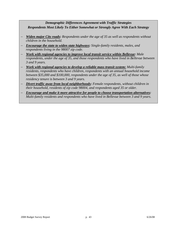# *Demographic Differences Agreement with Traffic Strategies Respondents Most Likely To Either Somewhat or Strongly Agree With Each Strategy*

- − *Widen major City roads: Respondents under the age of 35 as well as respondents without children in the household.*
- − *Encourage the state to widen state highways: Single-family residents, males, and respondents living in the 98007 zip code.*
- − *Work with regional agencies to improve local transit service within Bellevue: Male respondents, under the age of 35, and those respondents who have lived in Bellevue between 3 and 9 years.*
- − *Work with regional agencies to develop a reliable mass transit system: Multi-family residents, respondents who have children, respondents with an annual household income between \$35,000 and \$100,000, respondents under the age of 35, as well of those whose residency tenure is between 3 and 9 years.*
- − *Divert traffic away from local neighborhoods: Female respondents, without children in their household, residents of zip code 98004, and respondents aged 35 or older.*
- − *Encourage and make it more attractive for people to choose transportation alternatives: Multi-family residents and respondents who have lived in Bellevue between 3 and 9 years.*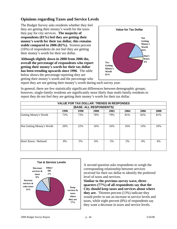# **Opinions regarding Taxes and Service Levels**

The Budget Survey asks residents whether they feel they are getting their money's worth for the taxes they pay for city services. **The majority of respondents (81%) feel they are getting their money's worth for their tax dollar, this remains stable compared to 2006 (82%).** Sixteen percent (16%) of respondents do not feel they are getting their money's worth for their tax dollar.

**Although slightly down in 2008 from 2006 the, overall the percentage of respondents who report getting their money's worth for their tax dollar has been trending upwards since 1996**. The table below shows the percentage reporting they are getting their money's worth and the percentage who



report they are not getting their money's worth during each survey year.

In general, there are few statistically significant differences between demographic groups; however, single-family residents are significantly more likely than multi-family residents to report they do not feel they are getting their money's worth for their tax dollar.

|                                | <b>VALUE FOR TAX DOLLAR: TRENDS IN RESPONSES</b> |      |      |      |      |      |      |  |  |
|--------------------------------|--------------------------------------------------|------|------|------|------|------|------|--|--|
| <b>(BASE: ALL RESPONDENTS)</b> |                                                  |      |      |      |      |      |      |  |  |
|                                | 1996                                             | 1998 | 2000 | 2002 | 2004 | 2006 | 2008 |  |  |
| Getting Money's Worth          | 72%                                              | 73%  | 78%  | 79%  | 81%  | 82%  | 81%  |  |  |
| Not Getting Money's Worth      | 20%                                              | 22%  | 16%  | 16%  | 16%  | 14%  | 16%  |  |  |
| Don't Know / Refused           | 8%                                               | 5%   | 6%   | 5%   | 3%   | 4%   | 4%   |  |  |



A second question asks respondents to weigh the corresponding relationship between services received for their tax dollar to identify the preferred level of taxes and services.

**Simliar to the previous survey wave, threequarters (77%) of all respondents say that the City should keep taxes and services about where they are.** Thirteen percent (13%) indicate they would prefer to see an increase in service levels and taxes, while eight percent (8%) of respondents say they want a decrease in taxes and service levels.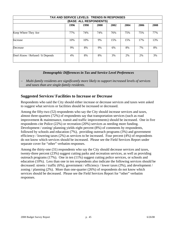| TAX AND SERVICE LEVELS: TRENDS IN RESPONSES |                         |      |             |      |      |      |      |  |  |  |
|---------------------------------------------|-------------------------|------|-------------|------|------|------|------|--|--|--|
|                                             | (BASE: ALL RESPONDENTS) |      |             |      |      |      |      |  |  |  |
|                                             | 1996                    | 1998 | <b>2000</b> | 2002 | 2004 | 2006 | 2008 |  |  |  |
| Keep Where They Are                         | 77%                     | 74%  | 74%         | 76%  | 75%  | 75%  | 77%  |  |  |  |
| <b>Increase</b>                             | 10%                     | 10%  | 9%          | 15%  | 15%  | 17%  | 13%  |  |  |  |
| Decrease                                    | 9%                      | 8%   | 9%          | 6%   | 8%   | 7%   | 8%   |  |  |  |
| Don't Know / Refused / It Depends           | 4%                      | 8%   | 8%          | 3%   | 2%   | 2%   | 3%   |  |  |  |

## *Demographic Differences in Tax and Service Level Preferences*

− *Multi-family residents are significantly more likely to support increased levels of services and taxes than are single-family residents.* 

# **Suggested Services/ Facilities to Increase or Decrease**

Respondents who said the City should either increase or decrease services and taxes were asked to suggest what services or facilities should be increased or decreased.

Among the fifty-two (52) respondents who say the City should increase services and taxes, almost three-quarters (72%) of respondents say that transportation services (such as road improvement & maintenance, transit and traffic improvements) should be increased. One in five respondents cite Police (22%) or recreation (20%) services as needing more funding. Development / zoning/ planning yields eight percent (8%) of comments by respondents, followed by schools and education (7%), providing outreach programs (3%) and government efficiency / lowering taxes (2%) as services to be increased. Four percent (4%) of respondents do not know which services should be increased. Please see the Field Services Report under separate cover for "other" verbatim responses.

Among the thirty-one (31) respondents who say the City should decrease services and taxes, twenty-three percent (23%) suggest cutting parks and recreation services, as well as providing outreach programs (17%). One in ten (11%) suggest cutting police services, or schools and education (10%). Less than one in ten respondents also indicate the following services should be decreased: streets / traffic (6%), government / efficiency / lower taxes (3%), and development / zoning / planning (2%). More than one-quarter (26%) of respondents do not know which services should be decreased. Please see the Field Services Report for "other" verbatim responses.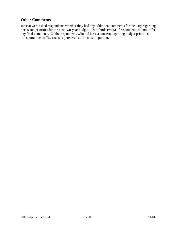# **Other Comments**

Interviewers asked respondents whether they had any additional comments for the City regarding needs and priorities for the next two-year budget. Two-thirds (64%) of respondents did not offer any final comments. Of the respondents who did have a concern regarding budget priorities, transportation/ traffic/ roads is perceived as the most important.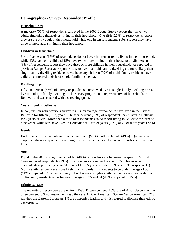# **Demographics - Survey Respondent Profile**

## **Household Size**

A majority (65%) of respondents surveyed in the 2008 Budget Survey report they have two adults (including themselves) living in their household. One-fifth (22%) of respondents report they are the only adult in their household while one in ten respondents (10%) report they have three or more adults living in their household.

## **Children in Household**

Sixty-five percent (65%) of respondents do not have children currently living in their household, while 13% have one child and 15% have two children living in their household. Six percent (6%) of respondents report they have three or more children in their household. As reported in previous Budget Surveys, respondents who live in a multi-family dwelling are more likely than single-family dwelling residents to *not* have any children (92% of multi-family residents have no children compared to 64% of single-family residents).

# **Dwelling Type**

Fifty-six percent (56%) of survey respondents interviewed live in single-family dwellings; 44% live in multiple family dwellings. The survey proportion is representative of households in Bellevue and was ensured with a screening quota.

## **Years Lived in Bellevue**

In conjunction with previous survey results, on average, respondents have lived in the City of Bellevue for fifteen (15.2) years. Thirteen percent (13%) of respondents have lived in Bellevue for 2 years or less. More than a third of respondents (36%) report living in Bellevue for three to nine years, while less have lived in Bellevue for 10 to 24 years (29%) or 25 or more years (22%).

## **Gender**

Half of survey respondents interviewed are male (51%); half are female (49%). Quotas were employed during respondent screening to ensure an equal split between proportions of males and females.

## **Age**

Equal to the 2006 survey four out of ten (40%) respondents are between the ages of 35 to 54. One quarter of respondents (29%) of respondents are under the age of 35. One in seven respondents report being 55 to 64 years old or 65 years or older (15% and 16%, respectively). Multi-family residents are more likely than single-family residents to be under the age of 35 (11% compared to 5%, respectively). Furthermore, single-family residents are more likely than multi-family residents to be between the ages of 35 and 54 (43% compared to 25%).

## **Ethnicity/Race**

The majority of respondents are white (71%). Fifteen percent (15%) are of Asian descent, while three percent (3%) of respondents say they are African American; 3% are Native American; 2% say they are Eastern European; 1% are Hispanic / Latino; and 4% refused to disclose their ethnic background.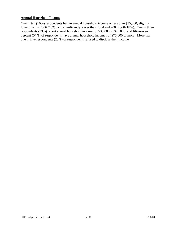## **Annual Household Income**

One in ten (10%) respondents has an annual household income of less than \$35,000, slightly lower than in 2006 (15%) and significantly lower than 2004 and 2002 (both 18%). One in three respondents (33%) report annual household incomes of \$35,000 to \$75,000, and fifty-seven percent (57%) of respondents have annual household incomes of \$75,000 or more. More than one in five respondents (23%) of respondents refused to disclose their income.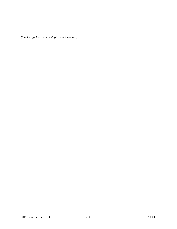*(Blank Page Inserted For Pagination Purposes.)*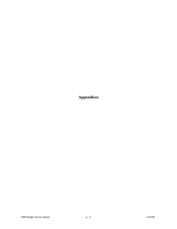**Appendices**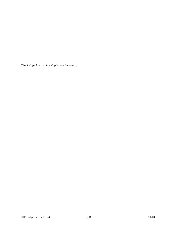*(Blank Page Inserted For Pagination Purposes.)*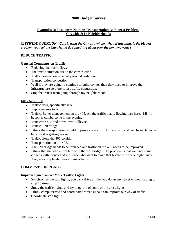# **2008 Budget Survey**

## **Examples Of Responses Naming Transportation As Biggest Problem**: **Citywide & In Neighborhoods**

*CITYWIDE QUESTION: Considering the City as a whole, what, if anything, is the biggest problem you feel the City should do something about over the next two years?* 

## **REDUCE TRAFFIC:**

### **General Comments on Traffic**

- Reducing the traffic flow.
- The traffic situation due to the construction.
- Traffic congestion especially around rush hour.
- Transportation congestion.
- Well if they are going to continue to build condos then they need to improve the infrastructure so there is less traffic congestion.
- Stop the transit from going through my neighborhood.

### **I405/ 520/ I-90:**

- Traffic flow, specifically 405.
- Improvements to I-405.
- Traffic. Better management on the 405. All the traffic that is flowing thru here. 148. It becomes cumbersome in the evening.
- Traffic/the 405 and downtown Bellevue.
- Traffic. 520 bridge.
- I think the transportation should improve access to I 90 and 405 and 520 from Bellevue because it is getting worse.
- Traffic along the 405 corridor.
- Transportation on the 405.
- The 520 bridge needs to be replaced and traffic on the 405 needs to be improved.
- I think that the whole problem with the 520 bridge. The problem is that we have some citizens with money and influence who want to make that bridge into six or eight lanes. They are completely ignoring mass transit.

### **COMMENTS ON ROADS:**

### **Improve Synchronize/ More Traffic Lights:**

- Synchronize the stop lights; you can't drive all the way down any street without having to stop 15 times.
- Study the traffic lights, and try to get rid of some of the cross lights.
- I think computerized and coordinated street signals can improve our way of traffic.
- Coordinate stop light's.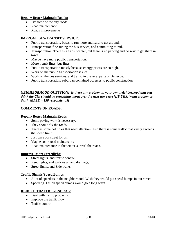## **Repair/ Better Maintain Roads:**

- Fix some of the city roads
- Road maintenance.
- Roads improvements.

# **IMPROVE BUS/TRANSIT SERVICE:**

- Public transportation, buses to run more and hard to get around.
- Transportation fine-tuning the bus service, and committing to rail.
- Transportation. There is a transit center, but there is no parking and no way to get there in town.
- Maybe have more public transportation.
- More transit lines, bus lines
- Public transportation mostly because energy prices are so high.
- Work on the public transportation issues.
- Work on the bus services, and traffic in the rural parts of Bellevue.
- Public transportation, suburban contained accesses to public construction.

## *NEIGHBORHOOD QUESTION: Is there any problem in your own neighborhood that you think the City should do something about over the next two years?[IF YES: What problem is that? (BASE = 158 respondents)]*

## **COMMENTS ON ROADS:**

### **Repair/ Better Maintain Roads**

- Some paving work is necessary.
- They should fix the roads.
- There is some pot holes that need attention. And there is some traffic that vastly exceeds the speed limit.
- Just pave our street for us.
- Maybe some road maintenance.
- Road maintenance in the winter .Gravel the road's

### **Improve/ More Streetlights**

- Street lights, and traffic control.
- Need lights, and walkways, and drainage,
- Street lights, and Side walks.

### **Traffic Signals/Speed Bumps**

- A lot of speeders in the neighborhood. Wish they would put speed bumps in our street.
- Speeding. I think speed bumps would go a long ways.

## **REDUCE TRAFFIC GENERAL:**

- Deal with traffic problems.
- Improve the traffic flow.
- Traffic control.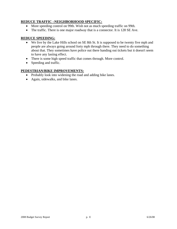## **REDUCE TRAFFIC –NEIGHBORHOOD SPECIFIC:**

- More speeding control on 99th. Wish not as much speeding traffic on 99th.
- The traffic. There is one major roadway that is a connector. It is 128 SE Ave.

## **REDUCE SPEEDING:**

- We live by the Lake Hills school on SE 8th St. It is supposed to be twenty five mph and people are always going around forty mph through there. They need to do something about that. They sometimes have police out there handing out tickets but it doesn't seem to have any lasting effect.
- There is some high speed traffic that comes through. More control.
- Speeding and traffic.

## **PEDESTRIAN/BIKE IMPROVEMENTS:**

- Probably look into widening the road and adding bike lanes.
- Again, sidewalks, and bike lanes.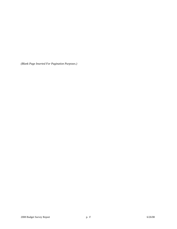*(Blank Page Inserted For Pagination Purposes.)*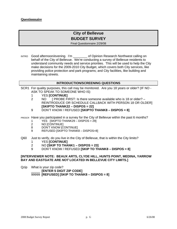### **Questionnaire**

# **City of Bellevue**

# **BUDGET SURVEY**

Final Questionnaire 2/29/08

INTRO Good afternoon/evening. I'm \_\_\_\_\_\_\_\_ of Opinion Research Northwest calling on behalf of the City of Bellevue. We're conducting a survey of Bellevue residents to understand community needs and service priorities. This will be used to help the City make decisions for the 2009-2010 City Budget, which covers both City services, like providing police protection and park programs; and City facilities, like building and maintaining streets.

#### **INTRODUCTION/SCREENING QUESTIONS**

- SCR1 For quality purposes, this call may be monitored. Are you 18 years or older? (IF NO ASK TO SPEAK TO SOMEONE WHO IS)
	- 1 YES **[CONTINUE]**
	- 2 NO [ PROBE FIRST: Is there someone available who is 18 or older? REINTRODUCE OR SCHEDULE CALLBACK WITH PERSON 18 OR OLDER] **[SKIPTO THANK22 – DISPOS = 22]**
	- 9 DON'T KNOW / REFUSED **[SKIPTO THANK8 DISPOS = 8]**
- PRESCR Have you participated in a survey for the City of Bellevue within the past 6 months?
	- 1 YES [SKIPTO THANK29 DISPOS = 29]<br>2 NO [CONTINUE]
	- NO [CONTINUE]
	- 8 DON'T KNOW [CONTINUE]
	- 9 REFUSED [SKIPTO THANK8 DISPOS=8]
- Q60 Just to verify, do you live in the City of Bellevue, that is within the City limits?
	- 1 YES **[CONTINUE]**
	- 2 NO **[SKIP TO THANK1 DISPOS = 23]**
	- 9 DON'T KNOW / REFUSED **[SKIP TO THANK8 DISPOS = 8]**

#### **[INTERVIEWER NOTE: BEAUX ARTS, CLYDE HILL, HUNTS POINT, MEDINA, YARROW BAY AND EASTGATE ARE** *NOT* **LOCATED IN BELLEVUE CITY LIMITS.]**

Qzip What is your zip code? \_\_\_\_\_ **[ENTER 5 DIGIT ZIP CODE]** 99999 **[REFUSED] [SKIP TO THANK8 – DISPOS = 8]**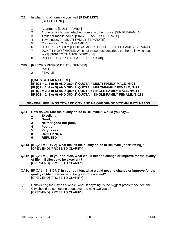### Q2 In what kind of home do you live? **[READ LIST] [SELECT ONE]**

- 1 Apartment, [MULTI-FAMILY]
- 2 A one family house detached from any other house, [SINGLE-FAMILY]
- 3 Trailer or mobile home, [SINGLE-FAMILY SEPARATE]
- 4 Townhouse, or [MULTI-FAMILY SEPARATE]<br>5 Condominium? [MULTI-FAMILY]
- 5 Condominium? [MULTI-FAMILY]
- 6 OTHER SPECIFY [CODE AS APPROPRIATE [SINGLE-FAMILY SEPARATE]
- 7 DON'T KNOW [PROBE: Which of these best describes the home in which you live?] [SKIP TO THANK8, DISPOS=8]
- 8 REFUSED [SKIP TO THANK8, DISPOS=8]
- Q80 [RECORD RESPONDENT'S GENDER]
	- 1 MALE
	- 2 FEMALE

#### **[QAL STATEMENT HERE]**

**[IF (Q2 = 1, 4 or 5) AND Q80=1] QUOTA = MULTI-FAMILY MALE, N=91 [IF (Q2 = 1, 4 or 5) AND Q80=2] QUOTA = MULTI-FAMILY FEMALE, N=91 [IF (Q2 = 2, 3 or 6) AND Q80=1] QUOTA = SINGLE-FAMILY MALE, N=111 [IF (Q2 = 2, 3 or 6) AND Q80=2] QUOTA = SINGLE-FAMILY FEMALE, N=111** 

#### **GENERAL FEELINGS TOWARD CITY AND NEIGHBORHOOD/COMMUNITY NEEDS**

- **QA1 How do you rate the quality of life in Bellevue? Would you say…** 
	- **1 Excellent,**
	- **2 Good,**
	- **3 Neither good nor poor,**
	- **4 Poor, or**
	- **5 Very poor?**
	- **8 DON'T KNOW**
	- **9 REFUSED**
- **QA1a** [IF QA1 = 1 OR 2] **What makes the quality of life in Bellevue [insert rating]?**  [OPEN-END] [PROBE TO CLARIFY]
- **QA1b** [IF QA1 = 2] **In your opinion, what would need to change or improve for the quality of life in Bellevue to be excellent?**  [OPEN-END] [PROBE TO CLARIFY]
- **QA1c** [IF QA1 = 3, 4 OR 5] **In your opinion, what would need to change or improve for the quality of life in Bellevue to be good or excellent?**  [OPEN-END] [PROBE TO CLARIFY]
- Q1 Considering the City as a whole, what, if anything, is the biggest problem you feel the City should do something about over the next two years? [OPEN-END] [PROBE TO CLARIFY]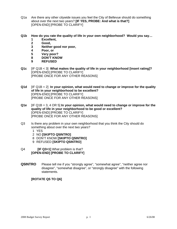- Q1a Are there any other citywide issues you feel the City of Bellevue should do something about over the next two years? **[IF YES, PROBE: And what is that?]** [OPEN-END] [PROBE TO CLARIFY]
- **Q1b How do you rate the quality of life in your own neighborhood? Would you say… 1 Excellent,** 
	- **2 Good,**
	- **3 Neither good nor poor,**
	- **4 Poor, or**
	- **5 Very poor?**
	- **8 DON'T KNOW**
	- **9 REFUSED**
- **Q1c** [IF Q1B < 3] **What makes the quality of life in your neighborhood [insert rating]?**  [OPEN-END] [PROBE TO CLARIFY] [PROBE ONCE FOR ANY OTHER REASONS]
- **Q1d** [IF Q1B = 2] **In your opinion, what would need to change or improve for the quality of life in your neighborhood to be excellent?**  [OPEN-END] [PROBE TO CLARIFY] [PROBE ONCE FOR ANY OTHER REASONS]
- **Q1e** [IF Q1B = 3, 4 OR 5] **In your opinion, what would need to change or improve for the quality of life in your neighborhood to be good or excellent?**  [OPEN-END] [PROBE TO CLARIFY] [PROBE ONCE FOR ANY OTHER REASONS]
- Q3 Is there any problem in your own neighborhood that you think the City should do something about over the next two years?
	- 1 YES
	- 2 NO **[SKIPTO Q5INTRO]**
	- 8 DON'T KNOW **[SKIPTO Q5INTRO]**
	- 9 REFUSED **[SKIPTO Q5INTRO]**
- Q4 **[IF Q3=1]** What problem is that? **[OPEN-END] [PROBE TO CLARIFY]**
- **Q5INTRO** Please tell me if you "strongly agree", "somewhat agree", "neither agree nor disagree", "somewhat disagree", or "strongly disagree" with the following statements.

## **[ROTATE Q5 TO Q6]**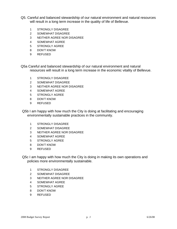- Q5. Careful and balanced stewardship of our natural environment and natural resources will result in a long term increase in the quality of life of Bellevue.
	- 1 STRONGLY DISAGREE
	- 2 SOMEWHAT DISAGREE
	- 3 NEITHER AGREE NOR DISAGREE
	- 4 SOMEWHAT AGREE
	- 5 STRONGLY AGREE
	- 8 DON'T KNOW
	- 9 REFUSED

Q5a Careful and balanced stewardship of our natural environment and natural resources will result in a long term increase in the economic vitality of Bellevue.

- 1 STRONGLY DISAGREE
- 2 SOMEWHAT DISAGREE
- 3 NEITHER AGREE NOR DISAGREE
- 4 SOMEWHAT AGREE
- 5 STRONGLY AGREE
- 8 DON'T KNOW
- 9 REFUSED

Q5b I am happy with how much the City is doing at facilitating and encouraging environmentally sustainable practices in the community.

- 1 STRONGLY DISAGREE
- 2 SOMEWHAT DISAGREE
- 3 NEITHER AGREE NOR DISAGREE
- 4 SOMEWHAT AGREE
- 5 STRONGLY AGREE
- 8 DON'T KNOW
- 9 REFUSED

Q5c I am happy with how much the City is doing in making its own operations and policies more environmentally sustainable.

- 1 STRONGLY DISAGREE
- 2 SOMEWHAT DISAGREE
- 3 NEITHER AGREE NOR DISAGREE
- 4 SOMEWHAT AGREE
- 5 STRONGLY AGREE
- 8 DON'T KNOW
- 9 REFUSED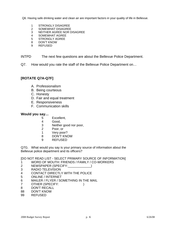Q6. Having safe drinking water and clean air are important factors in your quality of life in Bellevue.

- 1 STRONGLY DISAGREE<br>2 SOMEWHAT DISAGREE
- SOMEWHAT DISAGREE
- 3 NEITHER AGREE NOR DISAGREE
- 4 SOMEWHAT AGREE
- 5 STRONGLY AGREE
- 8 DON'T KNOW
- 9 REFUSED

### INTPD The next few questions are about the Bellevue Police Department.

Q7. How would you rate the staff of the Bellevue Police Department on…

## **[ROTATE Q7A-Q7F]**

- A. Professionalism
- B. Being courteous
- C. Honesty
- D. Fair and equal treatment
- E. Responsiveness
- F. Communication skills

#### **Would you say…**

- 5 Excellent,
- 4 Good,
- 3 Neither good nor poor,
- 2 Poor, or
- 1 Very poor?
- 8 DON'T KNOW
- 9 REFUSED

Q7G. What would you say is your primary source of information about the Bellevue police department and its officers?

[DO NOT READ LIST - SELECT PRIMARY SOURCE OF INFORMATION]

- 1 WORD OF MOUTH: FRIENDS / FAMILY / CO-WORKERS
- 2 NEWSPAPER (SPECIFY:  $\qquad \qquad$ )
- 3 RADIO TELEVISION
- 4 CONTACT DIRECTLY WITH THE POLICE
- 5 ONLINE / INTERNET
- 6 MAILER / FLYER / SOMETHING IN THE MAIL
- 7 OTHER (SPECIFY: )
- 8 DON'T RECALL
- 88 DON'T KNOW
- 99 REFUSED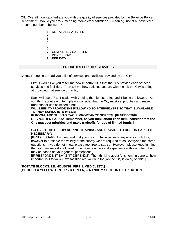Q8. Overall, how satisfied are you with the quality of services provided by the Bellevue Police Department? Would you say 7 meaning "completely satisfied," 1 meaning "not at all satisfied," or some number in between?

> 1 NOT AT ALL SATISFIED 2 3 4 5 6 7 COMPLETELY SATISFIED 8 DON'T KNOW 9 REFUSED

#### **PRIORITIES FOR CITY SERVICES**

**INTROA** I'm going to read you a list of services and facilities provided by the City.

First, I would like you to tell me how important it is that the City provide each of these services and facilities. Then tell me how satisfied you are with the job the City is doing at providing that service or facility.

Each will use a 7 to 1 scale, with 7 being the highest rating and 1 being the lowest. As you think about each item, please consider that the City must set priorities and make tradeoffs for use of limited funds.

**WILL NEED TO PROVIDE THE FOLLOWING TO INTERVIEWERS SO THAT IS AVAILABLE TO THEM DURING INTERVIEWS:** 

**IF ROOM, ADD THIS TO EACH IMPORTANCE SCREEN: [IF NEEDED/IF RESPONDENT ASKS: Remember, as you think about each item, consider that the City must set priorities and make tradeoffs for use of limited funds.]** 

#### **GO OVER THE BELOW DURING TRAINING AND PROVIDE TO DCS ON PAPER IF NECESSARY:**

[IF NECESSARY: I understand that you may not have personal experience with this, however to preserve the validity of the survey we are required to ask everyone the same questions. If you do not know, please feel free to say so. However, please keep in mind that your answers do not need to be based on personal experience with each item, but may be based on your general perceptions.]

[IF RESPONDENT SAYS "IT DEPENDS": Then thinking about [this item] in general, how important is it to you?/How satisfied are you with the job the City is doing on this?]

#### **[ROTATE BLOCKS, I.E. HOUSING, FIRE & MEDIC, ETC.] [GROUP 1 = YELLOW, GROUP 2 = GREEN] – RANDOM SECTION DISTRIBUTION**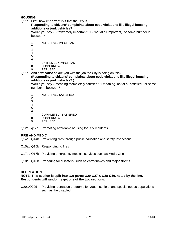### **HOUSING**

Q11a First, how **important** is it that the City is

### **Responding to citizens' complaints about code violations like illegal housing additions or junk vehicles?**

Would you say 7 - "extremely important," 1 - "not at all important," or some number in between?

- 1 NOT AT ALL IMPORTANT
- 2
- 3
- 4
- 5
- 6
- 7 EXTREMELY IMPORTANT
- 8 DON'T KNOW
- 9 REFUSED
- Q11b And how **satisfied** are you with the job the City is doing on this?

### **(Responding to citizens' complaints about code violations like illegal housing additions or junk vehicles? )**

Would you say 7 meaning "completely satisfied," 1 meaning "not at all satisfied," or some number in between?

1 NOT AT ALL SATISFIED

2 3 4 5 6 7 COMPLETELY SATISFIED 8 DON'T KNOW 9 REFUSED

Q12a / q12b Promoting affordable housing for City residents

### **FIRE AND MEDIC**

- Q14a / Q14b Preventing fires through public education and safety inspections
- Q15a / Q15b Responding to fires
- Q17a / Q17b Providing emergency medical services such as Medic One
- Q18a / Q18b Preparing for disasters, such as earthquakes and major storms

#### **RECREATION**

**NOTE: This section is split into two parts: Q20-Q27 & Q28-Q30, noted by the line. Respondents will randomly get one of the two sections.** 

Q20c/Q20d Providing recreation programs for youth, seniors, and special needs populations such as the disabled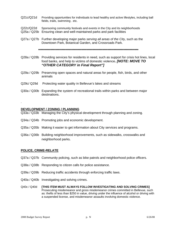Q21c/Q21d Providing opportunities for individuals to lead healthy and active lifestyles, including ball fields, trails, swimming . etc.

Q22c/Q22d Sponsoring community festivals and events in the City and its neighborhoods Q25a / Q25b Ensuring clean and well-maintained parks and park facilities

Q27a / Q27b Further developing major parks *serving all areas of the Cit*y, such as the Downtown Park, Botanical Garden, and Crossroads Park.

**\*\*\*\*\*\*\*\*\*\*\*\*\*\*\*\*\*\*\*\*\*\*\*\*\*\*\*\*\*\*\*\*\*\*\*\*\*\*\*\*\*\*\*\*\*\*\*\*\*\*\*\*\*\*\*\*\*\*\*\*\*\*\*\*\*\*\*\*\*\*\*\*\*\*\*\*\*\*\*\*\*** 

- Q28a / Q28b Providing services for residents in need, such as support for crisis hot lines, local food banks, and help to victims of domestic violence*. [NOTE: MOVE TO "OTHER CATEGORY in Final Report"]*
- Q29a / Q29b Preserving open spaces and natural areas for people, fish, birds, and other animals
- Q29c/ Q29d Protecting water quality in Bellevue's lakes and streams
- Q30a / Q30b Expanding the system of recreational trails within parks and between major destinations.

#### **DEVELOPMENT / ZONING / PLANNING**

- Q33a / Q33b Managing the City's physical development through planning and zoning.
- Q34a / Q34b Promoting jobs and economic development.
- Q35a / Q35b Making it easier to get information about City services and programs.
- Q36a / Q36b Building neighborhood improvements, such as sidewalks, crosswalks and neighborhood parks*.*

#### **POLICE, CRIME-RELATE**

.

- Q37a / Q37b Community policing, such as bike patrols and neighborhood police officers.
- Q38a / Q38b Responding to citizen calls for police assistance.
- Q39a / Q39b Reducing traffic accidents through enforcing traffic laws.
- Q40a / Q40b Investigating and solving crimes.
- Q40c / Q40d **[THIS ITEM MUST ALWAYS FOLLOW INVESTIGATING AND SOLVING CRIMES]** Prosecuting misdemeanor and gross misdemeanor crimes committed in Bellevue, such as: thefts of less than \$250 in value, driving under the influence of alcohol or driving with a suspended license, and misdemeanor assaults involving domestic violence.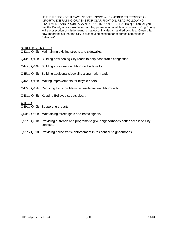[IF THE RESPONDENT SAY'S "DON'T KNOW" WHEN ASKED TO PROVIDE AN IMPORTANCE RATING OR ASKS FOR CLARIFICATION, READ FOLLOWING STATEMENT AND PROBE AGAIN FOR AN IMPORTANCE RATING:] "I can tell you that the County is responsible for handling prosecution of all felony crimes in King County while prosecution of misdemeanors that occur in cities is handled by cities. Given this, how important is it that the City is prosecuting misdemeanor crimes committed in Bellevue?"

#### **STREETS / TRAFFIC**

- Q42a / Q42b Maintaining existing streets and sidewalks.
- Q43a / Q43b Building or widening City roads to help ease traffic congestion.
- Q44a / Q44b Building additional neighborhood sidewalks.
- Q45a / Q45b Building additional sidewalks along major roads.
- Q46a / Q46b Making improvements for bicycle riders.
- Q47a / Q47b Reducing traffic problems in residential neighborhoods.
- Q48a / Q48b Keeping Bellevue streets clean.

#### **OTHER**

- Q49a / Q49b Supporting the arts.
- Q50a / Q50b Maintaining street lights and traffic signals.
- Q51a / Q51b Providing outreach and programs to give neighborhoods better access to City services.
- Q51c / Q51d Providing police traffic enforcement in residential neighborhoods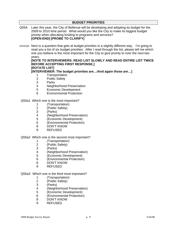|      |                         | <b>BUDGET PRIORITIES</b>                                                                                                                                                                                                                                                                         |
|------|-------------------------|--------------------------------------------------------------------------------------------------------------------------------------------------------------------------------------------------------------------------------------------------------------------------------------------------|
| Q55A |                         | Later this year, the City of Bellevue will be developing and adopting its budget for the<br>2009 to 2010 time period. What would you like the City to make its biggest budget<br>priority when allocating funding to programs and services?<br>[OPEN-END] [PROBE TO CLARIFY]                     |
|      |                         | INTRO55 Next is a question that gets at budget priorities in a slightly different way. I'm going to<br>read you a list of six budget priorities. After I read through the list, please tell me which<br>one you believe is the most important for the City to give priority to over the next two |
|      | years.<br>[ROTATE LIST] | [NOTE TO INTERVIEWERS: READ LIST SLOWLY AND READ ENTIRE LIST TWICE<br><b>BEFORE ACCEPTING FIRST RESPONSE.]</b>                                                                                                                                                                                   |
|      |                         | [INTERVIEWER: The budget priorities are/And again those are]                                                                                                                                                                                                                                     |
|      | 1                       | Transportation                                                                                                                                                                                                                                                                                   |
|      | 2                       | <b>Public Safety</b>                                                                                                                                                                                                                                                                             |
|      | 3                       | Parks                                                                                                                                                                                                                                                                                            |
|      | 4                       | Neighborhood Preservation                                                                                                                                                                                                                                                                        |
|      | 5                       | <b>Economic Development</b>                                                                                                                                                                                                                                                                      |
|      | 6                       | <b>Environmental Protection</b>                                                                                                                                                                                                                                                                  |
|      |                         | Q55a1 Which one is the most important?                                                                                                                                                                                                                                                           |
|      | 1                       | (Transportation)                                                                                                                                                                                                                                                                                 |
|      | $\overline{2}$          | (Public Safety)                                                                                                                                                                                                                                                                                  |
|      | 3                       | (Parks)                                                                                                                                                                                                                                                                                          |
|      | 4                       | (Neighborhood Preservation)                                                                                                                                                                                                                                                                      |
|      | 5<br>6                  | (Economic Development)<br>(Environmental Protection)                                                                                                                                                                                                                                             |
|      | 8                       | <b>DON'T KNOW</b>                                                                                                                                                                                                                                                                                |
|      | 9                       | <b>REFUSED</b>                                                                                                                                                                                                                                                                                   |
|      |                         | Q55a2 Which one is the second most important?                                                                                                                                                                                                                                                    |
|      | 1                       | (Transportation)                                                                                                                                                                                                                                                                                 |
|      | 2                       | (Public Safety)                                                                                                                                                                                                                                                                                  |
|      | 3                       | (Parks)                                                                                                                                                                                                                                                                                          |
|      | 4                       | (Neighborhood Preservation)                                                                                                                                                                                                                                                                      |
|      | 5                       | (Economic Development)                                                                                                                                                                                                                                                                           |
|      | 6                       | (Environmental Protection)                                                                                                                                                                                                                                                                       |
|      | 8                       | <b>DON'T KNOW</b>                                                                                                                                                                                                                                                                                |
|      | 9                       | <b>REFUSED</b>                                                                                                                                                                                                                                                                                   |
|      |                         | Q55a3 Which one is the third most important?                                                                                                                                                                                                                                                     |
|      | 1                       | (Transportation)                                                                                                                                                                                                                                                                                 |
|      | $\overline{2}$          | (Public Safety)                                                                                                                                                                                                                                                                                  |
|      | 3                       | (Parks)                                                                                                                                                                                                                                                                                          |
|      | 4                       | (Neighborhood Preservation)                                                                                                                                                                                                                                                                      |
|      | 5                       | (Economic Development)                                                                                                                                                                                                                                                                           |
|      | 6<br>8                  | (Environmental Protection)<br><b>DON'T KNOW</b>                                                                                                                                                                                                                                                  |
|      | 9                       | <b>REFUSED</b>                                                                                                                                                                                                                                                                                   |
|      |                         |                                                                                                                                                                                                                                                                                                  |
|      |                         |                                                                                                                                                                                                                                                                                                  |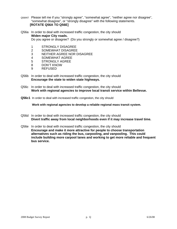- Q56INT Please tell me if you "strongly agree", "somewhat agree", "neither agree nor disagree", "somewhat disagree", or "strongly disagree" with the following statements. **[ROTATE Q56A TO Q56E]**
- Q56a In order to deal with increased traffic congestion, the city should **Widen major City roads.**  Do you agree or disagree? (Do you strongly or somewhat agree / disagree?)
	- 1 STRONGLY DISAGREE<br>2 SOMEWHAT DISAGREE
	- 2 SOMEWHAT DISAGREE
	- 3 NEITHER AGREE NOR DISAGREE
	- 4 SOMEWHAT AGREE
	- 5 STRONGLY AGREE
	- 8 DON'T KNOW
	- 9 REFUSED
- Q56b In order to deal with increased traffic congestion, the city should **Encourage the state to widen state highways.**
- Q56c In order to deal with increased traffic congestion, the city should **Work with regional agencies to improve local transit service within Bellevue.**
- **Q56c1** In order to deal with increased traffic congestion, the city should

**Work with regional agencies to develop a reliable regional mass transit system.**

- Q56d In order to deal with increased traffic congestion, the city should **Divert traffic away from local neighborhoods even if it may increase travel time.**
- Q56e In order to deal with increased traffic congestion, the city should **Encourage and make it more attractive for people to choose transportation alternatives such as riding the bus, carpooling, and vanpooling. This could include building more carpool lanes and working to get more reliable and frequent bus service.**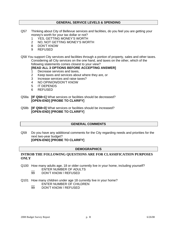#### **GENERAL SERVICE LEVELS & SPENDING**

- Q57 Thinking about City of Bellevue services and facilities, do you feel you are getting your money's worth for your tax dollar or not?
	- 1 YES, GETTING MONEY'S WORTH
	- 2 NO, NOT GETTING MONEY'S WORTH
	- 8 DON'T KNOW
	- 9 REFUSED

Q58 You support City services and facilities through a portion of property, sales and other taxes. Considering all City services on the one hand, and taxes on the other, which of the following statements comes closest to your view?

## **[READ ALL 3 OPTIONS BEFORE ACCEPTING ANSWER]**

- 1 Decrease services and taxes,
- 2 Keep taxes and services about where they are, or
- 3 Increase services and raise taxes?
- 4 NO OPINION/DON'T KNOW
- 5 IT DEPENDS
- 6 REFUSED
- Q58a **[IF Q58=1]** What services or facilities should be decreased? **[OPEN-END] [PROBE TO CLARIFY]**
- Q58b **[IF Q58=3]** What services or facilities should be increased? **[OPEN-END] [PROBE TO CLARIFY]**

### **GENERAL COMMENTS**

Q59 Do you have any additional comments for the City regarding needs and priorities for the next two-year budget? **[OPEN-END] [PROBE TO CLARIFY]** 

#### **DEMOGRAPHICS**

#### **INTROB THE FOLLOWING QUESTIONS ARE FOR CLASSIFICATION PURPOSES ONLY**

- Q100 How many adults age, 18 or older currently live in your home, including yourself? ENTER NUMBER OF ADULTS
	- 99 DON'T KNOW / REFUSED
- Q101 How many children under age 18 currently live in your home?
	- \_\_ ENTER NUMBER OF CHILDREN<br>99 DON'T KNOW / REFUSED
	- DON'T KNOW / REFUSED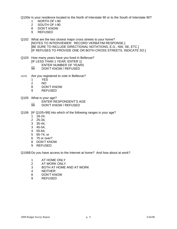Q100e Is your residence located to the North of Interstate 90 or to the South of Interstate 90?

- 1 NORTH OF I-90
- 2 SOUTH OF I-90
- 8 DON'T KNOW
- 9 REFUSED
- Q102 What are the two closest major cross streets to your home? [NOTES TO INTERVIEWER: RECORD VERBATIM RESPONSE.] [BE SURE TO INCLUDE DIRECTIONAL NOTATIONS, E.G., NW, SE, ETC.] [IF REFUSES TO PROVIDE ONE OR BOTH CROSS STREETS, INDICATE SO.]
- Q103 How many years have you lived in Bellevue?
	- [IF LESS THAN 1 YEAR, ENTER 1]
	- \_\_\_\_\_\_ENTER NUMBER OF YEARS<br>99 DON'T KNOW / REFUSED
	- DON'T KNOW / REFUSED
- VOTE Are you registered to vote in Bellevue?
	- 1 YES<br>2 NO
	- NO
	- 8 DON'T KNOW
	- 9 REFUSED
- Q105 What is your age?
	- \_\_\_\_\_\_ENTER RESPONDENT'S AGE<br>99 DON'T KNOW / REFUSED
	- DON'T KNOW / REFUSED
- Q106 [IF Q105=99] Into which of the following ranges is your age?
	- 1 18-24,
	- 2 25-34,
	- 3 35-44,
	- 3 45-54,
	- 4 55-64,
	- 5 65-74, or
	- 6 75 or over?
	- 8 DON'T KNOW
	- 9 REFUSED

Q106B Do you have access to the Internet at home? And how about at work?

- 1 AT HOME ONLY
- 2 AT WORK ONLY
- 3 BOTH AT HOME AND AT WORK
- 4 NEITHER
- 8 DON'T KNOW
- 9 REFUSED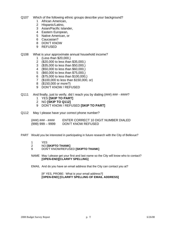- Q107 Which of the following ethnic groups describe your background?
	- 1 African American,
	- 2 Hispanic/Latino,
	- 3 Asian/Pacific Islander,
	- 4 Eastern European,
	- 5 Native American, or
	- 6 Caucasian?
	- 8 DON'T KNOW
	- 9 REFUSED

## Q108 What is your approximate annual household income?

- 1 (Less than \$20,000,)
- 2 (\$20,000 to less than \$35,000,)
- 3 (\$35,000 to less than \$50,000,)
- 4 (\$50,000 to less than \$60,000,)
- 5 (\$60,000 to less than \$75,000,)
- 6 (\$75,000 to less than \$100,000,)
- 7 (\$100,000 to less than \$150,000, or)
- 8 (\$150,000 or more?)
- 9 DON'T KNOW / REFUSED

## Q111 And finally, just to verify, did I reach you by dialing  $(\# \# \#)$  ### -  $\# \# \# \{?$

- 1 YES **[SKIP TO PART]**
- 2 NO **[SKIP TO Q112]**
- 9 DON'T KNOW / REFUSED **[SKIP TO PART]**
- Q112 May I please have your correct phone number?

| (###) ### - ####   | ENTER CORRECT 10 DIGIT NUMBER DIALED |
|--------------------|--------------------------------------|
| $(999)$ 999 – 9999 | DON'T KNOW REFUSED                   |

#### PART Would you be interested in participating in future research with the City of Bellevue?

- 1 YES
- 2 NO **[SKIPTO THANK]**
- 9 DON'T KNOW/REFUSED **[SKIPTO THANK]**

NAME May I please get your first and last name so the City will know who to contact? **[OPEN-END][CLARIFY SPELLING]** 

EMAIL And do you have an email address that the City can contact you at?

 [IF YES, PROBE: What is your email address?] **[OPEN-END] [CLARIFY SPELLING OF EMAIL ADDRESS]**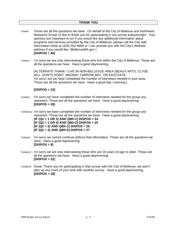- THANK Those are all the questions we have. On behalf of the City of Bellevue and Northwest Research Group I'd like to thank you for participating in our survey today/tonight. Your opinions are important to us! If you would like any additional information about programs and services provided by the City of Bellevue, please call the City Hall Information Desk at (425) 452-6800 or I can provide you with the City's Website address if you would like. (BellevueWA.gov ) **[DISPOS = 40]**
- THANK1 I'm sorry we are only interviewing those who live within the City of Bellevue. Those are all the questions we have. Have a good day/evening.

[ALTERNATE THANK / LIVE IN NON-BELLEVUE AREA (BEAUX ARTS, CLYDE HILL, HUNTS POINT, MEDINA, YARROW BAY, OR EASTGATE: I'm sorry, but we have completed the number of interviews needed in your area. Those are all the questions we have. Have a good day / evening.]

## **[DISPOS = 23]**

- THANK2 I'm sorry we have completed the number of interviews needed for the group you represent. Those are all the questions we have. Have a good day/evening. **[DISPOS = 28]**
- THANKOQ I'm sorry we have completed the number of interviews needed for the group you represent. Those are all the questions we have. Have a good day/evening.

**[IF (Q2 = 1 OR 3) AND Q80=1] DISPOS = 24 [IF (Q2 = 1 OR 3) AND Q80=2] DISPOS = 25 [IF (Q2 = 2) AND Q80=1] DISPOS = 26 [IF (Q2 = 2) AND Q80=2] DISPOS = 27**

- THANK8 I'm sorry we cannot continue without that information. Those are all the questions we have. Have a good day/evening. **[DISPOS = 8]**
- THANK22 I'm sorry we are only interviewing those who are 18 years of age or older. Those are all the questions we have. Have a good day/evening. **[DISPOS = 22]**
- THANK29 Great. Thank you for participating in that survey with the City of Bellevue; we won't take up any more of your time with another survey. Have a good day/evening. **[DISPOS = 29]**